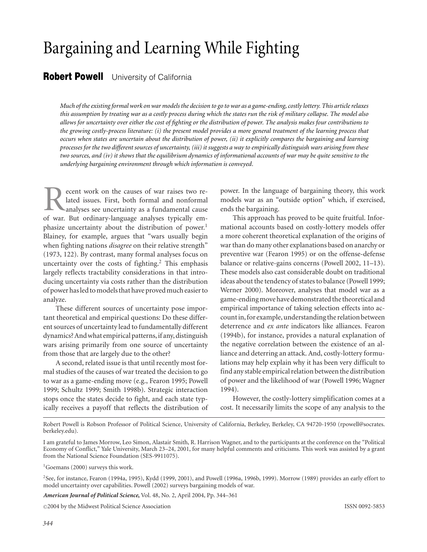# Bargaining and Learning While Fighting

# **Robert Powell** University of California

*Much of the existing formal work on war models the decision to go to war as a game-ending, costly lottery. This article relaxes this assumption by treating war as a costly process during which the states run the risk of military collapse. The model also allows for uncertainty over either the cost of fighting or the distribution of power. The analysis makes four contributions to the growing costly-process literature: (i) the present model provides a more general treatment of the learning process that occurs when states are uncertain about the distribution of power, (ii) it explicitly compares the bargaining and learning processes for the two different sources of uncertainty, (iii) it suggests a way to empirically distinguish wars arising from these two sources, and (iv) it shows that the equilibrium dynamics of informational accounts of war may be quite sensitive to the underlying bargaining environment through which information is conveyed.*

ecent work on the causes of war raises two related issues. First, both formal and nonformal analyses see uncertainty as a fundamental cause of war. But ordinary-language analyses typically emphasize uncertainty about the distribution of power.<sup>1</sup> Blainey, for example, argues that "wars usually begin when fighting nations *disagree* on their relative strength" (1973, 122). By contrast, many formal analyses focus on uncertainty over the costs of fighting.<sup>2</sup> This emphasis largely reflects tractability considerations in that introducing uncertainty via costs rather than the distribution of power has led to models that have proved much easier to analyze.

These different sources of uncertainty pose important theoretical and empirical questions: Do these different sources of uncertainty lead to fundamentally different dynamics? And what empirical patterns, if any, distinguish wars arising primarily from one source of uncertainty from those that are largely due to the other?

A second, related issue is that until recently most formal studies of the causes of war treated the decision to go to war as a game-ending move (e.g., Fearon 1995; Powell 1999; Schultz 1999; Smith 1998b). Strategic interaction stops once the states decide to fight, and each state typically receives a payoff that reflects the distribution of power. In the language of bargaining theory, this work models war as an "outside option" which, if exercised, ends the bargaining.

This approach has proved to be quite fruitful. Informational accounts based on costly-lottery models offer a more coherent theoretical explanation of the origins of war than do many other explanations based on anarchy or preventive war (Fearon 1995) or on the offense-defense balance or relative-gains concerns (Powell 2002, 11–13). These models also cast considerable doubt on traditional ideas about the tendency of states to balance (Powell 1999; Werner 2000). Moreover, analyses that model war as a game-ending move have demonstrated the theoretical and empirical importance of taking selection effects into account in, for example, understanding the relation between deterrence and *ex ante* indicators like alliances. Fearon (1994b), for instance, provides a natural explanation of the negative correlation between the existence of an alliance and deterring an attack. And, costly-lottery formulations may help explain why it has been very difficult to find any stable empirical relation between the distribution of power and the likelihood of war (Powell 1996; Wagner 1994).

However, the costly-lottery simplification comes at a cost. It necessarily limits the scope of any analysis to the

Robert Powell is Robson Professor of Political Science, University of California, Berkeley, Berkeley, CA 94720-1950 (rpowell@socrates. berkeley.edu).

I am grateful to James Morrow, Leo Simon, Alastair Smith, R. Harrison Wagner, and to the participants at the conference on the "Political Economy of Conflict," Yale University, March 23–24, 2001, for many helpful comments and criticisms. This work was assisted by a grant from the National Science Foundation (SES-9911075).

<sup>1</sup>Goemans (2000) surveys this work.

2See, for instance, Fearon (1994a, 1995), Kydd (1999, 2001), and Powell (1996a, 1996b, 1999). Morrow (1989) provides an early effort to model uncertainty over capabilities. Powell (2002) surveys bargaining models of war.

*American Journal of Political Science***,** Vol. 48, No. 2, April 2004, Pp. 344–361

-<sup>C</sup> 2004 by the Midwest Political Science Association ISSN 0092-5853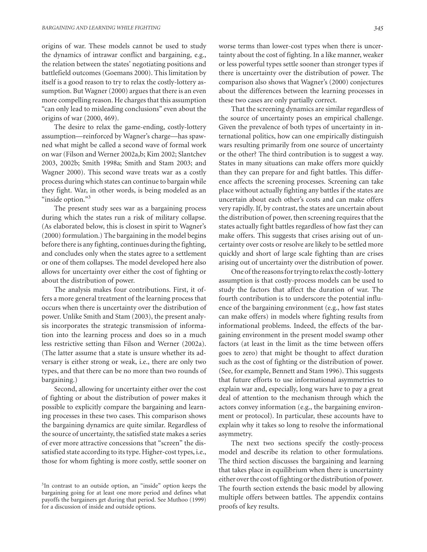origins of war. These models cannot be used to study the dynamics of intrawar conflict and bargaining, e.g., the relation between the states' negotiating positions and battlefield outcomes (Goemans 2000). This limitation by itself is a good reason to try to relax the costly-lottery assumption. But Wagner (2000) argues that there is an even more compelling reason. He charges that this assumption "can only lead to misleading conclusions" even about the origins of war (2000, 469).

The desire to relax the game-ending, costly-lottery assumption—reinforced by Wagner's charge—has spawned what might be called a second wave of formal work on war (Filson and Werner 2002a,b; Kim 2002; Slantchev 2003, 2002b; Smith 1998a; Smith and Stam 2003; and Wagner 2000). This second wave treats war as a costly process during which states can continue to bargain while they fight. War, in other words, is being modeled as an "inside option."3

The present study sees war as a bargaining process during which the states run a risk of military collapse. (As elaborated below, this is closest in spirit to Wagner's (2000) formulation.) The bargaining in the model begins before there is any fighting, continues during the fighting, and concludes only when the states agree to a settlement or one of them collapses. The model developed here also allows for uncertainty over either the cost of fighting or about the distribution of power.

The analysis makes four contributions. First, it offers a more general treatment of the learning process that occurs when there is uncertainty over the distribution of power. Unlike Smith and Stam (2003), the present analysis incorporates the strategic transmission of information into the learning process and does so in a much less restrictive setting than Filson and Werner (2002a). (The latter assume that a state is unsure whether its adversary is either strong or weak, i.e., there are only two types, and that there can be no more than two rounds of bargaining.)

Second, allowing for uncertainty either over the cost of fighting or about the distribution of power makes it possible to explicitly compare the bargaining and learning processes in these two cases. This comparison shows the bargaining dynamics are quite similar. Regardless of the source of uncertainty, the satisfied state makes a series of ever more attractive concessions that "screen" the dissatisfied state according to its type. Higher-cost types, i.e., those for whom fighting is more costly, settle sooner on

3In contrast to an outside option, an "inside" option keeps the bargaining going for at least one more period and defines what payoffs the bargainers get during that period. See Muthoo (1999) for a discussion of inside and outside options.

worse terms than lower-cost types when there is uncertainty about the cost of fighting. In a like manner, weaker or less powerful types settle sooner than stronger types if there is uncertainty over the distribution of power. The comparison also shows that Wagner's (2000) conjectures about the differences between the learning processes in these two cases are only partially correct.

That the screening dynamics are similar regardless of the source of uncertainty poses an empirical challenge. Given the prevalence of both types of uncertainty in international politics, how can one empirically distinguish wars resulting primarily from one source of uncertainty or the other? The third contribution is to suggest a way. States in many situations can make offers more quickly than they can prepare for and fight battles. This difference affects the screening processes. Screening can take place without actually fighting any battles if the states are uncertain about each other's costs and can make offers very rapidly. If, by contrast, the states are uncertain about the distribution of power, then screening requires that the states actually fight battles regardless of how fast they can make offers. This suggests that crises arising out of uncertainty over costs or resolve are likely to be settled more quickly and short of large scale fighting than are crises arising out of uncertainty over the distribution of power.

One of the reasons for trying to relax the costly-lottery assumption is that costly-process models can be used to study the factors that affect the duration of war. The fourth contribution is to underscore the potential influence of the bargaining environment (e.g., how fast states can make offers) in models where fighting results from informational problems. Indeed, the effects of the bargaining environment in the present model swamp other factors (at least in the limit as the time between offers goes to zero) that might be thought to affect duration such as the cost of fighting or the distribution of power. (See, for example, Bennett and Stam 1996). This suggests that future efforts to use informational asymmetries to explain war and, especially, long wars have to pay a great deal of attention to the mechanism through which the actors convey information (e.g., the bargaining environment or protocol). In particular, these accounts have to explain why it takes so long to resolve the informational asymmetry.

The next two sections specify the costly-process model and describe its relation to other formulations. The third section discusses the bargaining and learning that takes place in equilibrium when there is uncertainty either over the cost of fighting or the distribution of power. The fourth section extends the basic model by allowing multiple offers between battles. The appendix contains proofs of key results.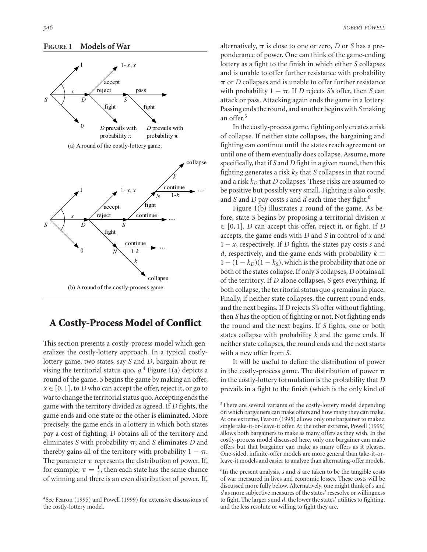#### **FIGURE 1 Models of War**



(a) A round of the costly-lottery game.



# **A Costly-Process Model of Conflict**

This section presents a costly-process model which generalizes the costly-lottery approach. In a typical costlylottery game, two states, say *S* and *D*, bargain about revising the territorial status quo, *q*. <sup>4</sup> Figure 1(a) depicts a round of the game. *S* begins the game by making an offer,  $x \in [0, 1]$ , to *D* who can accept the offer, reject it, or go to war to change the territorial status quo. Accepting ends the game with the territory divided as agreed. If *D* fights, the game ends and one state or the other is eliminated. More precisely, the game ends in a lottery in which both states pay a cost of fighting; *D* obtains all of the territory and eliminates  $S$  with probability  $\pi$ ; and  $S$  eliminates  $D$  and thereby gains all of the territory with probability  $1 - \pi$ . The parameter  $\pi$  represents the distribution of power. If, for example,  $\pi = \frac{1}{2}$ , then each state has the same chance of winning and there is an even distribution of power. If,

alternatively,  $\pi$  is close to one or zero, *D* or *S* has a preponderance of power. One can think of the game-ending lottery as a fight to the finish in which either *S* collapses and is unable to offer further resistance with probability  $\pi$  or *D* collapses and is unable to offer further resistance with probability  $1 - \pi$ . If *D* rejects *S*'s offer, then *S* can attack or pass. Attacking again ends the game in a lottery. Passing ends the round, and another begins with *S* making an offer.5

In the costly-process game, fighting only creates a risk of collapse. If neither state collapses, the bargaining and fighting can continue until the states reach agreement or until one of them eventually does collapse. Assume, more specifically, that if *S* and *D* fight in a given round, then this fighting generates a risk  $k<sub>S</sub>$  that *S* collapses in that round and a risk  $k_D$  that *D* collapses. These risks are assumed to be positive but possibly very small. Fighting is also costly, and *S* and *D* pay costs *s* and *d* each time they fight.<sup>6</sup>

Figure 1(b) illustrates a round of the game. As before, state *S* begins by proposing a territorial division *x* ∈ [0, 1]. *D* can accept this offer, reject it, or fight. If *D* accepts, the game ends with *D* and *S* in control of *x* and 1 − *x*, respectively. If *D* fights, the states pay costs *s* and *d*, respectively, and the game ends with probability  $k \equiv$  $1 - (1 - k_D)(1 - k_S)$ , which is the probability that one or both of the states collapse. If only *S* collapses, *D* obtains all of the territory. If *D* alone collapses, *S* gets everything. If both collapse, the territorial status quo *q* remains in place. Finally, if neither state collapses, the current round ends, and the next begins. If *D* rejects *S*'s offer without fighting, then *S* has the option of fighting or not. Not fighting ends the round and the next begins. If *S* fights, one or both states collapse with probability *k* and the game ends. If neither state collapses, the round ends and the next starts with a new offer from *S*.

It will be useful to define the distribution of power in the costly-process game. The distribution of power  $\pi$ in the costly-lottery formulation is the probability that *D* prevails in a fight to the finish (which is the only kind of

<sup>5</sup>There are several variants of the costly-lottery model depending on which bargainers can make offers and how many they can make. At one extreme, Fearon (1995) allows only one bargainer to make a single take-it-or-leave-it offer. At the other extreme, Powell (1999) allows both bargainers to make as many offers as they wish. In the costly-process model discussed here, only one bargainer can make offers but that bargainer can make as many offers as it pleases. One-sided, infinite-offer models are more general than take-it-orleave-it models and easier to analyze than alternating-offer models.

6In the present analysis, *s* and *d* are taken to be the tangible costs of war measured in lives and economic losses. These costs will be discussed more fully below. Alternatively, one might think of *s* and *d* as more subjective measures of the states' resesolve or willingness to fight. The larger *s* and *d*, the lower the states' utilities to fighting, and the less resolute or willing to fight they are.

<sup>4</sup>See Fearon (1995) and Powell (1999) for extensive discussions of the costly-lottery model.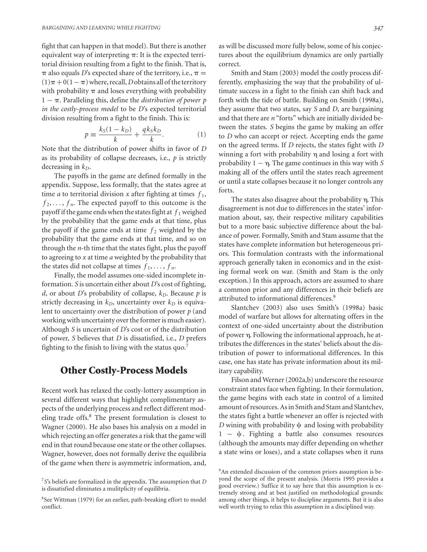fight that can happen in that model). But there is another equivalent way of interpreting  $\pi$ : It is the expected territorial division resulting from a fight to the finish. That is,  $\pi$  also equals *D*'s expected share of the territory, i.e.,  $\pi$  =  $(1)\pi + 0(1 - \pi)$  where, recall, *D* obtains all of the territory with probability  $\pi$  and loses everything with probability 1 – π. Paralleling this, define the *distribution of power p in the costly-process model* to be *D*'s expected territorial division resulting from a fight to the finish. This is:

$$
p \equiv \frac{k_S(1 - k_D)}{k} + \frac{qk_S k_D}{k}.\tag{1}
$$

Note that the distribution of power shifts in favor of *D* as its probability of collapse decreases, i.e., *p* is strictly decreasing in  $k_D$ .

The payoffs in the game are defined formally in the appendix. Suppose, less formally, that the states agree at time *a* to territorial division *x* after fighting at times  $f_1$ ,  $f_2, \ldots, f_n$ . The expected payoff to this outcome is the payoff if the game ends when the states fight at  $f_1$  weighed by the probability that the game ends at that time, plus the payoff if the game ends at time  $f_2$  weighted by the probability that the game ends at that time, and so on through the *n*-th time that the states fight, plus the payoff to agreeing to *x* at time *a* weighted by the probability that the states did not collapse at times  $f_1, \ldots, f_n$ .

Finally, the model assumes one-sided incomplete information. *S* is uncertain either about *D*'s cost of fighting, *d*, or about *D*'s probability of collapse,  $k_D$ . Because *p* is strictly decreasing in  $k_D$ , uncertainty over  $k_D$  is equivalent to uncertainty over the distribution of power *p* (and working with uncertainty over the former is much easier). Although *S* is uncertain of *D*'s cost or of the distribution of power, *S* believes that *D* is dissatisfied, i.e., *D* prefers fighting to the finish to living with the status quo.<sup>7</sup>

### **Other Costly-Process Models**

Recent work has relaxed the costly-lottery assumption in several different ways that highlight complimentary aspects of the underlying process and reflect different modeling trade offs.<sup>8</sup> The present formulation is closest to Wagner (2000). He also bases his analysis on a model in which rejecting an offer generates a risk that the game will end in that round because one state or the other collapses. Wagner, however, does not formally derive the equilibria of the game when there is asymmetric information, and,

as will be discussed more fully below, some of his conjectures about the equilibrium dynamics are only partially correct.

Smith and Stam (2003) model the costly process differently, emphasizing the way that the probability of ultimate success in a fight to the finish can shift back and forth with the tide of battle. Building on Smith (1998a), they assume that two states, say *S* and *D*, are bargaining and that there are *n* "forts" which are initially divided between the states. *S* begins the game by making an offer to *D* who can accept or reject. Accepting ends the game on the agreed terms. If *D* rejects, the states fight with *D* winning a fort with probability  $\eta$  and losing a fort with probability  $1 - \eta$ . The game continues in this way with *S* making all of the offers until the states reach agreement or until a state collapses because it no longer controls any forts.

The states also disagree about the probability  $\eta$ . This disagreement is not due to differences in the states' information about, say, their respective military capabilities but to a more basic subjective difference about the balance of power. Formally, Smith and Stam assume that the states have complete information but heterogeneous priors. This formulation contrasts with the informational approach generally taken in economics and in the existing formal work on war. (Smith and Stam is the only exception.) In this approach, actors are assumed to share a common prior and any differences in their beliefs are attributed to informational differences.<sup>9</sup>

Slantchev (2003) also uses Smith's (1998a) basic model of warfare but allows for alternating offers in the context of one-sided uncertainty about the distribution of power η. Following the informational approach, he attributes the differences in the states' beliefs about the distribution of power to informational differences. In this case, one has state has private information about its military capability.

Filson and Werner (2002a,b) underscore the resource constraint states face when fighting. In their formulation, the game begins with each state in control of a limited amount of resources. As in Smith and Stam and Slantchev, the states fight a battle whenever an offer is rejected with *D* wining with probability  $\psi$  and losing with probability  $1 - \psi$ . Fighting a battle also consumes resources (although the amounts may differ depending on whether a state wins or loses), and a state collapses when it runs

<sup>7</sup>*S*'s beliefs are formalized in the appendix. The assumption that *D* is dissatisfied eliminates a mulitplicity of equilibria.

<sup>8</sup>See Wittman (1979) for an earlier, path-breaking effort to model conflict.

<sup>&</sup>lt;sup>9</sup>An extended discussion of the common priors assumption is beyond the scope of the present analysis. (Morris 1995 provides a good overview.) Suffice it to say here that this assumption is extremely strong and at best justified on methodological grounds: among other things, it helps to discipline arguments. But it is also well worth trying to relax this assumption in a disciplined way.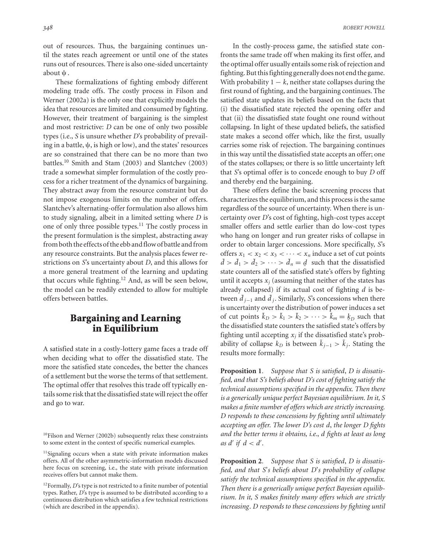out of resources. Thus, the bargaining continues until the states reach agreement or until one of the states runs out of resources. There is also one-sided uncertainty about  $\psi$ .

These formalizations of fighting embody different modeling trade offs. The costly process in Filson and Werner (2002a) is the only one that explicitly models the idea that resources are limited and consumed by fighting. However, their treatment of bargaining is the simplest and most restrictive: *D* can be one of only two possible types (i.e., *S* is unsure whether *D*'s probability of prevailing in a battle,  $\psi$ , is high or low), and the states' resources are so constrained that there can be no more than two battles.<sup>10</sup> Smith and Stam (2003) and Slantchev (2003) trade a somewhat simpler formulation of the costly process for a richer treatment of the dynamics of bargaining. They abstract away from the resource constraint but do not impose exogenous limits on the number of offers. Slantchev's alternating-offer formulation also allows him to study signaling, albeit in a limited setting where *D* is one of only three possible types.<sup>11</sup> The costly process in the present formulation is the simplest, abstracting away from both the effects of the ebb and flow of battle and from any resource constraints. But the analysis places fewer restrictions on *S*'s uncertainty about *D*, and this allows for a more general treatment of the learning and updating that occurs while fighting.<sup>12</sup> And, as will be seen below, the model can be readily extended to allow for multiple offers between battles.

# **Bargaining and Learning in Equilibrium**

A satisfied state in a costly-lottery game faces a trade off when deciding what to offer the dissatisfied state. The more the satisfied state concedes, the better the chances of a settlement but the worse the terms of that settlement. The optimal offer that resolves this trade off typically entails some risk that the dissatisfied state will reject the offer and go to war.

In the costly-process game, the satisfied state confronts the same trade off when making its first offer, and the optimal offer usually entails some risk of rejection and fighting. But this fighting generally does not end the game. With probability  $1 - k$ , neither state collapses during the first round of fighting, and the bargaining continues. The satisfied state updates its beliefs based on the facts that (i) the dissatisfied state rejected the opening offer and that (ii) the dissatisfied state fought one round without collapsing. In light of these updated beliefs, the satisfied state makes a second offer which, like the first, usually carries some risk of rejection. The bargaining continues in this way until the dissatisfied state accepts an offer; one of the states collapses; or there is so little uncertainty left that *S*'s optimal offer is to concede enough to buy *D* off and thereby end the bargaining.

These offers define the basic screening process that characterizes the equilibrium, and this process is the same regardless of the source of uncertainty. When there is uncertainty over *D*'s cost of fighting, high-cost types accept smaller offers and settle earlier than do low-cost types who hang on longer and run greater risks of collapse in order to obtain larger concessions. More specifically, *S*'s offers  $x_1 < x_2 < x_3 < \cdots < x_n$  induce a set of cut points  $d > d_1 > d_2 > \cdots > d_n = d$  such that the dissatisfied<br>state counters all of the satisfied state's offers by fighting state counters all of the satisfied state's offers by fighting until it accepts  $x_i$  (assuming that neither of the states has already collapsed) if its actual cost of fighting *d* is between  $\tilde{d}_{j-1}$  and  $\tilde{d}_j$ . Similarly, *S*'s concessions when there is uncertainty over the distribution of power induces a set of cut points  $\tilde{k}_D > \tilde{k}_1 > \tilde{k}_2 > \cdots > \tilde{k}_m = k_D$  such that the dissatisfied state counters the satisfied state's offers by fighting until accepting  $x_i$  if the dissatisfied state's probability of collapse  $k_D$  is between  $\tilde{k}_{j-1} > \tilde{k}_j$ . Stating the results more formally:

**Proposition 1***. Suppose that S is satisfied*, *D is dissatisfied, and that S's beliefs about D's cost of fighting satisfy the technical assumptions specified in the appendix. Then there is a generically unique perfect Bayesian equilibrium. In it, S makes a finite number of offers which are strictly increasing. D responds to these concessions by fighting until ultimately accepting an offer. The lower D's cost d*, *the longer D fights and the better terms it obtains, i.e.*, *d fights at least as long* as  $d'$  *if*  $d < d'$ .

**Proposition 2***. Suppose that S is satisfied*, *D is dissatisfied, and that S*'*s beliefs about D*'*s probability of collapse satisfy the technical assumptions specified in the appendix. Then there is a generically unique perfect Bayesian equilibrium. In it, S makes finitely many offers which are strictly increasing*. *D responds to these concessions by fighting until*

 $10$ Filson and Werner (2002b) subsequently relax these constraints to some extent in the context of specific numerical examples.

<sup>&</sup>lt;sup>11</sup>Signaling occurs when a state with private information makes offers. All of the other asymmetric-information models discussed here focus on screening, i.e., the state with private information receives offers but cannot make them.

<sup>&</sup>lt;sup>12</sup>Formally, *D*'s type is not restricted to a finite number of potential types. Rather, *D*'s type is assumed to be distributed according to a continuous distribution which satisfies a few technical restrictions (which are described in the appendix).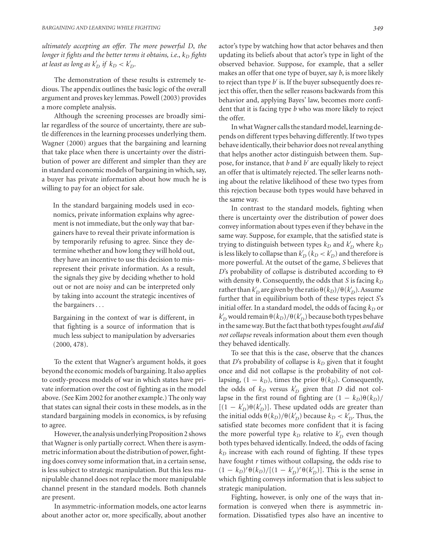*ultimately accepting an offer. The more powerful D*, *the longer it fights and the better terms it obtains, i.e.,*  $k_D$  *fights at least as long as*  $k_D'$  *if*  $k_D < k_D'$ *.* 

The demonstration of these results is extremely tedious. The appendix outlines the basic logic of the overall argument and proves key lemmas. Powell (2003) provides a more complete analysis.

Although the screening processes are broadly similar regardless of the source of uncertainty, there are subtle differences in the learning processes underlying them. Wagner (2000) argues that the bargaining and learning that take place when there is uncertainty over the distribution of power are different and simpler than they are in standard economic models of bargaining in which, say, a buyer has private information about how much he is willing to pay for an object for sale.

In the standard bargaining models used in economics, private information explains why agreement is not immediate, but the only way that bargainers have to reveal their private information is by temporarily refusing to agree. Since they determine whether and how long they will hold out, they have an incentive to use this decision to misrepresent their private information. As a result, the signals they give by deciding whether to hold out or not are noisy and can be interpreted only by taking into account the strategic incentives of the bargainers...

Bargaining in the context of war is different, in that fighting is a source of information that is much less subject to manipulation by adversaries (2000, 478).

To the extent that Wagner's argument holds, it goes beyond the economic models of bargaining. It also applies to costly-process models of war in which states have private information over the cost of fighting as in the model above. (See Kim 2002 for another example.) The only way that states can signal their costs in these models, as in the standard bargaining models in economics, is by refusing to agree.

However, the analysis underlying Proposition 2 shows that Wagner is only partially correct. When there is asymmetric information about the distribution of power, fighting does convey some information that, in a certain sense, is less subject to strategic manipulation. But this less manipulable channel does not replace the more manipulable channel present in the standard models. Both channels are present.

In asymmetric-information models, one actor learns about another actor or, more specifically, about another

actor's type by watching how that actor behaves and then updating its beliefs about that actor's type in light of the observed behavior. Suppose, for example, that a seller makes an offer that one type of buyer, say *b*, is more likely to reject than type *b*<sup>'</sup> is. If the buyer subsequently does reject this offer, then the seller reasons backwards from this behavior and, applying Bayes' law, becomes more confident that it is facing type *b* who was more likely to reject the offer.

In what Wagner calls the standard model, learning depends on different types behaving differently. If two types behave identically, their behavior does not reveal anything that helps another actor distinguish between them. Suppose, for instance, that *b* and *b* are equally likely to reject an offer that is ultimately rejected. The seller learns nothing about the relative likelihood of these two types from this rejection because both types would have behaved in the same way.

In contrast to the standard models, fighting when there is uncertainty over the distribution of power does convey information about types even if they behave in the same way. Suppose, for example, that the satisfied state is trying to distinguish between types  $k_D$  and  $k_D'$  where  $k_D$ is less likely to collapse than  $k_D'$  (  $k_D < k_D'$  ) and therefore is more powerful. At the outset of the game, *S* believes that *D*'s probability of collapse is distributed according to  $\Theta$ with density  $\theta$ . Consequently, the odds that *S* is facing  $k_D$ rather than  $k_D^{\prime}$  are given by the ratio  $\theta(k_D)/\theta(k_D^{\prime})$ . Assume further that in equilibrium both of these types reject *S*'s initial offer. In a standard model, the odds of facing  $k_D$  or  $k_D^\prime$  would remain  $\theta(k_D)/\theta(k_D^\prime)$  because both types behave in the same way. But the fact that both types fought *and did not collapse* reveals information about them even though they behaved identically.

To see that this is the case, observe that the chances that *D*'s probability of collapse is  $k_D$  given that it fought once and did not collapse is the probability of not collapsing,  $(1 - k_D)$ , times the prior  $\theta(k_D)$ . Consequently, the odds of  $k_D$  versus  $k'_D$  given that  $D$  did not collapse in the first round of fighting are  $(1 - k_D)\theta(k_D)$ /  $[(1 - k_D')\theta(k_D')]$ . These updated odds are greater than the initial odds  $\theta(k_D)/\theta(k_D')$  because  $k_D < k_D'$ . Thus, the satisfied state becomes more confident that it is facing the more powerful type  $k_D$  relative to  $k'_D$  even though both types behaved identically. Indeed, the odds of facing  $k_D$  increase with each round of fighting. If these types have fought *r* times without collapsing, the odds rise to  $(1 - k_D)^r \theta(k_D) / [(1 - k'_D)^r \theta(k'_D)]$ . This is the sense in which fighting conveys information that is less subject to strategic manipulation.

Fighting, however, is only one of the ways that information is conveyed when there is asymmetric information. Dissatisfied types also have an incentive to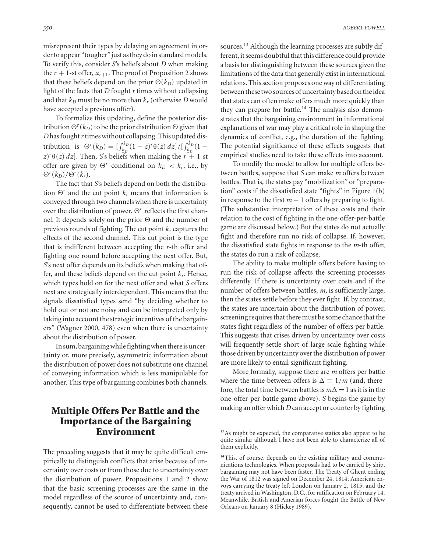misrepresent their types by delaying an agreement in order to appear "tougher" just as they do in standard models. To verify this, consider *S*'s beliefs about *D* when making the  $r + 1$ -st offer,  $x_{r+1}$ . The proof of Proposition 2 shows that these beliefs depend on the prior  $\Theta(k_D)$  updated in light of the facts that *D* fought *r* times without collapsing and that  $k_D$  must be no more than  $k_T$  (otherwise *D* would have accepted a previous offer).

To formalize this updating, define the posterior distribution  $\Theta^{r}(k_D)$  to be the prior distribution  $\Theta$  given that *D* has fought*r* times without collapsing. This updated distribution is  $\Theta^r(k_D) = \int_{k_D}^{k_D}$  $\frac{1}{k_D}$ (1 – *z*)<sup>*r*</sup> $\theta$ (*z*) *dz*]/[ $\int_{k_D}^{\bar{k}_D}$ <br>*fs* when making the *r* +  $\frac{k_D}{k_D}(1 -$ <br>+ 1-st  $(z)^r \theta(z) dz$ . Then, *S*'s beliefs when making the  $r + 1$ -st offer are given by  $\Theta^r$  conditional on  $k_D < k_r$ , i.e., by  $\Theta^r(k_D)/\Theta^r(k_r)$ .

The fact that *S*'s beliefs depend on both the distribution  $\Theta^r$  and the cut point  $k_r$  means that information is conveyed through two channels when there is uncertainty over the distribution of power.  $\Theta^r$  reflects the first channel. It depends solely on the prior  $\Theta$  and the number of previous rounds of fighting. The cut point  $k_r$  captures the effects of the second channel. This cut point is the type that is indifferent between accepting the *r*-th offer and fighting one round before accepting the next offer. But, *S*'s next offer depends on its beliefs when making that offer, and these beliefs depend on the cut point *kr*. Hence, which types hold on for the next offer and what *S* offers next are strategically interdependent. This means that the signals dissatisfied types send "by deciding whether to hold out or not are noisy and can be interpreted only by taking into account the strategic incentives of the bargainers" (Wagner 2000, 478) even when there is uncertainty about the distribution of power.

In sum, bargaining while fighting when there is uncertainty or, more precisely, asymmetric information about the distribution of power does not substitute one channel of conveying information which is less manipulable for another. This type of bargaining combines both channels.

# **Multiple Offers Per Battle and the Importance of the Bargaining Environment**

The preceding suggests that it may be quite difficult empirically to distinguish conflicts that arise because of uncertainty over costs or from those due to uncertainty over the distribution of power. Propositions 1 and 2 show that the basic screening processes are the same in the model regardless of the source of uncertainty and, consequently, cannot be used to differentiate between these

sources.<sup>13</sup> Although the learning processes are subtly different, it seems doubtful that this difference could provide a basis for distinguishing between these sources given the limitations of the data that generally exist in international relations. This section proposes one way of differentiating between these two sources of uncertainty based on the idea that states can often make offers much more quickly than they can prepare for battle.<sup>14</sup> The analysis also demonstrates that the bargaining environment in informational explanations of war may play a critical role in shaping the dynamics of conflict, e.g., the duration of the fighting. The potential significance of these effects suggests that empirical studies need to take these effects into account.

To modify the model to allow for multiple offers between battles, suppose that *S* can make *m* offers between battles. That is, the states pay "mobilization" or "preparation" costs if the dissatisfied state "fights" in Figure 1(b) in response to the first  $m-1$  offers by preparing to fight. (The substantive interpretation of these costs and their relation to the cost of fighting in the one-offer-per-battle game are discussed below.) But the states do not actually fight and therefore run no risk of collapse. If, however, the dissatisfied state fights in response to the *m*-th offer, the states do run a risk of collapse.

The ability to make multiple offers before having to run the risk of collapse affects the screening processes differently. If there is uncertainty over costs and if the number of offers between battles, *m*, is sufficiently large, then the states settle before they ever fight. If, by contrast, the states are uncertain about the distribution of power, screening requires that there must be some chance that the states fight regardless of the number of offers per battle. This suggests that crises driven by uncertainty over costs will frequently settle short of large scale fighting while those driven by uncertainty over the distribution of power are more likely to entail significant fighting.

More formally, suppose there are *m* offers per battle where the time between offers is  $\Delta \equiv 1/m$  (and, therefore, the total time between battles is  $m\Delta = 1$  as it is in the one-offer-per-battle game above). *S* begins the game by making an offer which *D* can accept or counter by fighting

<sup>&</sup>lt;sup>13</sup>As might be expected, the comparative statics also appear to be quite similar although I have not been able to characterize all of them explicitly.

<sup>&</sup>lt;sup>14</sup>This, of course, depends on the existing military and communications technologies. When proposals had to be carried by ship, bargaining may not have been faster. The Treaty of Ghent ending the War of 1812 was signed on December 24, 1814; American envoys carrying the treaty left London on January 2, 1815; and the treaty arrived in Washington, D.C., for ratification on February 14. Meanwhile, British and Amerian forces fought the Battle of New Orleans on January 8 (Hickey 1989).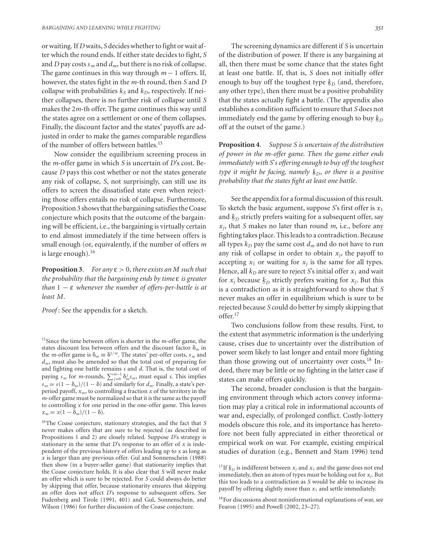or waiting. If *D* waits, *S* decides whether to fight or wait after which the round ends. If either state decides to fight, *S* and *D* pay costs  $s_m$  and  $d_m$ , but there is no risk of collapse. The game continues in this way through *m* − 1 offers. If, however, the states fight in the *m*-th round, then *S* and *D* collapse with probabilities  $k<sub>S</sub>$  and  $k<sub>D</sub>$ , respectively. If neither collapses, there is no further risk of collapse until *S* makes the 2*m*-th offer. The game continues this way until the states agree on a settlement or one of them collapses. Finally, the discount factor and the states' payoffs are adjusted in order to make the games comparable regardless of the number of offers between battles.<sup>15</sup>

Now consider the equilibrium screening process in the *m*-offer game in which *S* is uncertain of *D*'s cost. Because *D* pays this cost whether or not the states generate any risk of collapse, *S*, not surprisingly, can still use its offers to screen the dissatisfied state even when rejecting those offers entails no risk of collapse. Furthermore, Proposition 3 shows that the bargaining satisfies the Coase conjecture which posits that the outcome of the bargaining will be efficient, i.e., the bargaining is virtually certain to end almost immediately if the time between offers is small enough (or, equivalently, if the number of offers *m* is large enough). $16$ 

**Proposition 3***. For any* ε > 0, *there exists an M such that the probability that the bargaining ends by time* ε *is greater than* 1 − ε *whenever the number of offers-per-battle is at least M*.

*Proof* : See the appendix for a sketch.

15Since the time between offers is shorter in the *m*-offer game, the states discount less between offers and the discount factor  $\delta_m$  in the *m*-offer game is  $\delta_m \equiv \delta^{1/m}$ . The states' per-offer costs,  $s_m$  and *dm*, must also be amended so that the total cost of preparing for and fighting one battle remains *s* and *d*. That is, the total cost of paying  $s_m$  for *m*-rounds,  $\sum_{j=0}^{m-1} \delta_m^j s_m$ , must equal *s*. This implies  $s_m = s(1 - \delta_m)/(1 - \delta)$  and similarly for  $d_m$ . Finally, a state's perperiod payoff,  $x_m$ , to controlling a fraction  $x$  of the territory in the *m*-offer game must be normalized so that it is the same as the payoff to controlling *x* for one period in the one-offer game. This leaves  $x_m = x(1 - \delta_m)/(1 - \delta).$ 

16The Coase conjecture, stationary strategies, and the fact that *S* never makes offers that are sure to be rejected (as described in Propositions 1 and 2) are closely related. Suppose *D*'s strategy is stationary in the sense that *D*'s response to an offer of *x* is independent of the previous history of offers leading up to *x* as long as *x* is larger than any previous offer. Gul and Sonnenschein (1988) then show (in a buyer-seller game) that stationarity implies that the Coase conjecture holds. It is also clear that *S* will never make an offer which is sure to be rejected. For *S* could always do better by skipping that offer, because stationarity ensures that skipping an offer does not affect *D*'s response to subsequent offers. See Fudenberg and Tirole (1991, 401) and Gul, Sonnenschein, and Wilson (1986) for further discussion of the Coase conjecture.

The screening dynamics are different if *S* is uncertain of the distribution of power. If there is any bargaining at all, then there must be some chance that the states fight at least one battle. If, that is, *S* does not initially offer enough to buy off the toughest type  $\underline{k}_D$  (and, therefore, any other type), then there must be a positive probability that the states actually fight a battle. (The appendix also establishes a condition sufficient to ensure that *S* does not immediately end the game by offering enough to buy  $\underline{k}_D$ <br>off at the quited of the game.) off at the outset of the game.)

**Proposition 4***. Suppose S is uncertain of the distribution of power in the m*-*offer game. Then the game either ends immediately with S*'*s offering enough to buy off the toughest type it might be facing, namely*  $k_D$ *, or there is a positive probability that the states fight at least one battle*.

See the appendix for a formal discussion of this result. To sketch the basic argument, suppose *S*'s first offer is *x*<sup>1</sup> and  $k_D$  strictly prefers waiting for a subsequent offer, say *xj*, that *S* makes no later than round *m*, i.e., before any fighting takes place. This leads to a contradiction. Because all types  $k_D$  pay the same cost  $d_m$  and do not have to run any risk of collapse in order to obtain  $x_i$ , the payoff to accepting  $x_1$  or waiting for  $x_i$  is the same for all types. Hence, all  $k_D$  are sure to reject *S*'s initial offer  $x_1$  and wait for  $x_j$  because  $\underline{k}_D$  strictly prefers waiting for  $x_j$ . But this<br>is a contradiction as it is straightforward to show that S is a contradiction as it is straightforward to show that *S* never makes an offer in equilibrium which is sure to be rejected because *S* could do better by simply skipping that offer.<sup>17</sup>

Two conclusions follow from these results. First, to the extent that asymmetric information is the underlying cause, crises due to uncertainty over the distribution of power seem likely to last longer and entail more fighting than those growing out of uncertainty over costs.<sup>18</sup> Indeed, there may be little or no fighting in the latter case if states can make offers quickly.

The second, broader conclusion is that the bargaining environment through which actors convey information may play a critical role in informational accounts of war and, especially, of prolonged conflict. Costly-lottery models obscure this role, and its importance has heretofore not been fully appreciated in either theoretical or empirical work on war. For example, existing empirical studies of duration (e.g., Bennett and Stam 1996) tend

<sup>&</sup>lt;sup>17</sup>If  $k_D$  is indifferent between  $x_j$  and  $x_1$  and the game does not end<br>immediately then an atom of types must be holding out for x. But immediately, then an atom of types must be holding out for *xj*. But this too leads to a contradiction as *S* would be able to increase its payoff by offering slightly more than *x*<sup>1</sup> and settle immediately.

<sup>18</sup>For discussions about noninformational explanations of war, see Fearon (1995) and Powell (2002, 23–27).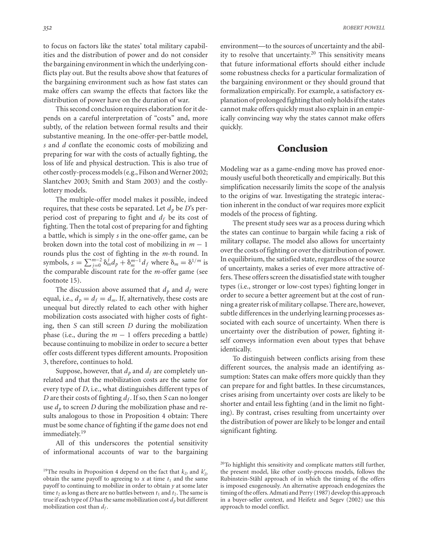to focus on factors like the states' total military capabilities and the distribution of power and do not consider the bargaining environment in which the underlying conflicts play out. But the results above show that features of the bargaining environment such as how fast states can make offers can swamp the effects that factors like the distribution of power have on the duration of war.

This second conclusion requires elaboration for it depends on a careful interpretation of "costs" and, more subtly, of the relation between formal results and their substantive meaning. In the one-offer-per-battle model, *s* and *d* conflate the economic costs of mobilizing and preparing for war with the costs of actually fighting, the loss of life and physical destruction. This is also true of other costly-process models (e.g., Filson and Werner 2002; Slantchev 2003; Smith and Stam 2003) and the costlylottery models.

The multiple-offer model makes it possible, indeed requires, that these costs be separated. Let  $d_p$  be *D*'s perperiod cost of preparing to fight and *df* be its cost of fighting. Then the total cost of preparing for and fighting a battle, which is simply *s* in the one-offer game, can be broken down into the total cost of mobilizing in *m* − 1 rounds plus the cost of fighting in the *m*-th round. In symbols,  $s = \sum_{j=0}^{m-2} \delta_m^j d_p + \delta_m^{m-1} d_f$  where  $\delta_m = \delta^{1/m}$  is the comparable discount rate for the *m*-offer game (see footnote 15).

The discussion above assumed that  $d_p$  and  $d_f$  were equal, i.e.,  $d_p = d_f = d_m$ . If, alternatively, these costs are unequal but directly related to each other with higher mobilization costs associated with higher costs of fighting, then *S* can still screen *D* during the mobilization phase (i.e., during the  $m - 1$  offers preceding a battle) because continuing to mobilize in order to secure a better offer costs different types different amounts. Proposition 3, therefore, continues to hold.

Suppose, however, that  $d_p$  and  $d_f$  are completely unrelated and that the mobilization costs are the same for every type of *D*, i.e., what distinguishes different types of *D* are their costs of fighting  $d_f$ . If so, then *S* can no longer use  $d<sub>p</sub>$  to screen *D* during the mobilization phase and results analogous to those in Proposition 4 obtain: There must be some chance of fighting if the game does not end immediately.<sup>19</sup>

All of this underscores the potential sensitivity of informational accounts of war to the bargaining environment—to the sources of uncertainty and the ability to resolve that uncertainty.<sup>20</sup> This sensitivity means that future informational efforts should either include some robustness checks for a particular formalization of the bargaining environment or they should ground that formalization empirically. For example, a satisfactory explanation of prolonged fighting that only holds if the states cannot make offers quickly must also explain in an empirically convincing way why the states cannot make offers quickly.

#### **Conclusion**

Modeling war as a game-ending move has proved enormously useful both theoretically and empirically. But this simplification necessarily limits the scope of the analysis to the origins of war. Investigating the strategic interaction inherent in the conduct of war requires more explicit models of the process of fighting.

The present study sees war as a process during which the states can continue to bargain while facing a risk of military collapse. The model also allows for uncertainty over the costs of fighting or over the distribution of power. In equilibrium, the satisfied state, regardless of the source of uncertainty, makes a series of ever more attractive offers. These offers screen the dissatisfied state with tougher types (i.e., stronger or low-cost types) fighting longer in order to secure a better agreement but at the cost of running a greater risk of military collapse. There are, however, subtle differences in the underlying learning processes associated with each source of uncertainty. When there is uncertainty over the distribution of power, fighting itself conveys information even about types that behave identically.

To distinguish between conflicts arising from these different sources, the analysis made an identifying assumption: States can make offers more quickly than they can prepare for and fight battles. In these circumstances, crises arising from uncertainty over costs are likely to be shorter and entail less fighting (and in the limit no fighting). By contrast, crises resulting from uncertainty over the distribution of power are likely to be longer and entail significant fighting.

<sup>&</sup>lt;sup>19</sup>The results in Proposition 4 depend on the fact that  $k_D$  and  $k'_D$ obtain the same payoff to agreeing to  $x$  at time  $t_1$  and the same payoff to continuing to mobilize in order to obtain *y* at some later time  $t_2$  as long as there are no battles between  $t_1$  and  $t_2$ . The same is true if each type of *D* has the same mobilization cost  $d_p$  but different mobilization cost than  $d_f$ .

 $20$ To highlight this sensitivity and complicate matters still further, the present model, like other costly-process models, follows the Rubinstein-Ståhl approach of in which the timing of the offers is imposed exogenously. An alternative approach endogenizes the timing of the offers. Admati and Perry (1987) develop this approach in a buyer-seller context, and Heifetz and Segev (2002) use this approach to model conflict.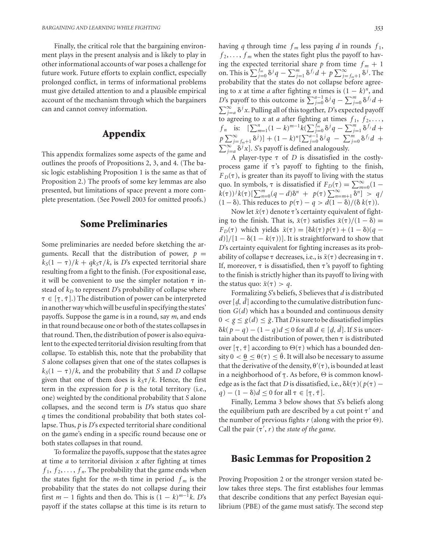Finally, the critical role that the bargaining environment plays in the present analysis and is likely to play in other informational accounts of war poses a challenge for future work. Future efforts to explain conflict, especially prolonged conflict, in terms of informational problems must give detailed attention to and a plausible empirical account of the mechanism through which the bargainers can and cannot convey information.

## **Appendix**

This appendix formalizes some aspects of the game and outlines the proofs of Propositions 2, 3, and 4. (The basic logic establishing Proposition 1 is the same as that of Proposition 2.) The proofs of some key lemmas are also presented, but limitations of space prevent a more complete presentation. (See Powell 2003 for omitted proofs.)

## **Some Preliminaries**

Some preliminaries are needed before sketching the arguments. Recall that the distribution of power,  $p =$  $k_S(1 - \tau)/k + qk_S\tau/k$ , is *D*'s expected territorial share resulting from a fight to the finish. (For expositional ease, it will be convenient to use the simpler notation  $\tau$  instead of  $k_D$  to represent *D*'s probability of collapse where  $\tau \in [\tau, \bar{\tau}]$ .) The distribution of power can be interpreted  $\cdot$   $\in$   $\{1, \cdot\}$ , The distribution of power can be interpreted<br>in another way which will be useful in specifying the states' payoffs. Suppose the game is in a round, say *m*, and ends in that round because one or both of the states collapses in that round. Then, the distribution of power is also equivalent to the expected territorial division resulting from that collapse. To establish this, note that the probability that *S* alone collapses given that one of the states collapses is  $k_S(1 - \tau)/k$ , and the probability that *S* and *D* collapse given that one of them does is  $k<sub>S</sub>\tau/k$ . Hence, the first term in the expression for  $p$  is the total territory (i.e., one) weighted by the conditional probability that *S* alone collapses, and the second term is *D*'s status quo share *q* times the conditional probability that both states collapse. Thus, *p* is *D*'s expected territorial share conditional on the game's ending in a specific round because one or both states collapses in that round.

To formalize the payoffs, suppose that the states agree at time *a* to territorial division *x* after fighting at times  $f_1, f_2, \ldots, f_n$ . The probability that the game ends when the states fight for the *m*-th time in period  $f_m$  is the probability that the states do not collapse during their first  $m - 1$  fights and then do. This is  $(1 - k)^{m-1}k$ . *D*'s payoff if the states collapse at this time is its return to having *q* through time  $f_m$  less paying *d* in rounds  $f_1$ ,  $f_2, \ldots, f_m$  when the states fight plus the payoff to having the expected territorial share *p* from time  $f_m + 1$ on. This is  $\sum_{j=0}^{f_m} \delta^j q - \sum_{j=1}^m \delta^{f_j} d + p \sum_{j=f_m+1}^{\infty} \delta^j$ . The probability that the states do not collapse before agreeing to *x* at time *a* after fighting *n* times is  $(1 - k)^n$ , and *D*'s payoff to this outcome is  $\sum_{j=0}^{a-1} \delta^j q - \sum_{j=0}^{m} \delta^{f_j} d +$  $\sum_{j=a}^{\infty} \delta^j x$ . Pulling all of this together, *D*'s expected payoff to agreeing to *x* at *a* after fighting at times  $f_1, f_2, \ldots$ ,  $f_n$  is:  $[\sum_{m=1}^n (1-k)^{m-1} k(\sum_{j=0}^{f_m} \delta^j q - \sum_{j=1}^m \delta^{f_j} d +$  $p \sum_{j=f_m+1}^{\infty} \delta^{j}$  *j* + (1 − *k*)<sup>n</sup>[ $\sum_{j=0}^{a-1} \delta^{j}q$  –  $\sum_{j=0}^{m} \delta^{f_j}d$  +  $\sum_{j=a}^{\infty} \delta^{j} x$ ]. *S*'s payoff is defined analogously.

A player-type  $\tau$  of *D* is dissatisfied in the costlyprocess game if  $\tau$ 's payoff to fighting to the finish,  $F_D(\tau)$ , is greater than its payoff to living with the status quo. In symbols,  $\tau$  is dissatisfied if  $F_D(\tau) = \sum_{m=0}^{\infty} (1 \int_{0}^{R} k(\tau) \, dx \, dy = \int_{0}^{R} (q - d) \delta^{n} + p(\tau) \sum_{n=m+1}^{\infty} \delta^{n} \leq q/2$ (1 − δ). This reduces to  $p(τ) - q > d(1 - δ)/(δ k(τ)).$ 

Now let  $\tilde{x}(\tau)$  denote  $\tau$ 's certainty equivalent of fighting to the finish. That is,  $\tilde{x}(\tau)$  satisfies  $\tilde{x}(\tau)/(1 - \delta) =$  $F_D(\tau)$  which yields  $\tilde{x}(\tau) = [\delta k(\tau) p(\tau) + (1 - \delta)(q - \tau)]$  $d$ )]/[1 –  $\delta(1 - k(\tau))$ ]. It is straightforward to show that *D*'s certainty equivalent for fighting increases as its probability of collapse  $\tau$  decreases, i.e., is  $\tilde{x}(\tau)$  decreasing in  $\tau$ . If, moreover,  $\tau$  is dissatisfied, then  $\tau$ 's payoff to fighting to the finish is strictly higher than its payoff to living with the status quo:  $\tilde{x}(\tau) > q$ .

Formalizing *S*'s beliefs, *S* believes that *d* is distributed over  $[d, d]$  according to the cumulative distribution function  $G(d)$  which has a bounded and continuous density  $0 < g \leq g(d) \leq \bar{g}$ . That *D* is sure to be dissatisfied implies  $\delta k(p - q) - (1 - q)d \leq 0$  for all  $d \in [d, d]$ . If *S* is uncertain about the distribution of power, then  $\tau$  is distributed over [ $\tau$ ,  $\bar{\tau}$ ] according to  $\Theta(\tau)$  which has a bounded density  $0 < \theta \leq \theta(\tau) \leq \bar{\theta}$ . It will also be necessary to assume that the derivative of the density,  $\theta'(\tau)$ , is bounded at least in a neighborhood of  $\underline{\tau}$ . As before,  $\Theta$  is common knowledge as is the fact that *D* is dissatisfied, i.e.,  $\delta k(\tau)(p(\tau)$  $q$ ) –  $(1 - \delta)d \leq 0$  for all  $\tau \in [\tau, \bar{\tau}].$ 

Finally, Lemma 3 below shows that *S*'s beliefs along the equilibrium path are described by a cut point  $\tau'$  and the number of previous fights  $r$  (along with the prior  $\Theta$ ). Call the pair  $(\tau', r)$  the *state of the game*.

#### **Basic Lemmas for Proposition 2**

Proving Proposition 2 or the stronger version stated below takes three steps. The first establishes four lemmas that describe conditions that any perfect Bayesian equilibrium (PBE) of the game must satisfy. The second step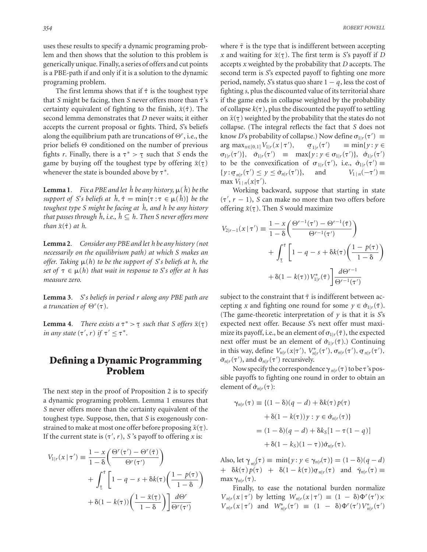uses these results to specify a dynamic programing problem and then shows that the solution to this problem is generically unique. Finally, a series of offers and cut points is a PBE-path if and only if it is a solution to the dynamic programing problem.

The first lemma shows that if  $\hat{\tau}$  is the toughest type that *S* might be facing, then *S* never offers more than ˆ's certainty equivalent of fighting to the finish,  $\tilde{x}(\hat{\tau})$ . The second lemma demonstrates that *D* never waits; it either accepts the current proposal or fights. Third, *S*'s beliefs along the equilibrium path are truncations of  $\Theta^r$ , i.e., the prior beliefs  $\Theta$  conditioned on the number of previous fights *r*. Finally, there is a  $\tau^* > \tau$  such that *S* ends the came by proposition  $\tilde{r}(\tau)$ game by buying off the toughest type by offering  $\tilde{x}(\tau)$ whenever the state is bounded above by  $\tau^*$ .

**Lemma 1***. Fix a PBE and let*  $\hat{h}$  *be any history,*  $\mu$ ( $\hat{h}$ ) *be the support of S's beliefs at*  $\hat{h}$ ,  $\hat{\tau} = \min{\{\tau : \tau \in \mu(\hat{h})\}}$  *be the toughest type S might be facing at*  $\hat{h}$ *, and h be any history that passes through h, i.e.,*  $h \subseteq h$ *. Then S never offers more than*  $\tilde{x}(\hat{\tau})$  *at h.* 

**Lemma 2***. Consider any PBE and let h be any history (not necessarily on the equilibrium path) at which S makes an offer. Taking*  $\mu(h)$  *to be the support of S's beliefs at h, the set of*  $\tau \in \mu(h)$  *that wait in response to* S'*s offer at h has measure zero.*

**Lemma 3***. S*'*s beliefs in period r along any PBE path are a truncation of*  $\Theta^r(\tau)$ .

**Lemma 4***.* There exists a  $\tau^* > \tau$  such that S offers  $\tilde{x}(\tau)$  in any state  $(\tau', \tau)$  if  $\tau' < \tau^*$ *in any state*  $(\tau', r)$  *if*  $\tau' \leq \tau^*$ .

## **Defining a Dynamic Programming Problem**

The next step in the proof of Proposition 2 is to specify a dynamic programing problem. Lemma 1 ensures that *S* never offers more than the certainty equivalent of the toughest type. Suppose, then, that *S* is exogenously constrained to make at most one offer before proposing  $\tilde{x}(\tau)$ . If the current state is  $(\tau', r)$ , *S*'s payoff to offering *x* is:

$$
V_{1|r}(x \mid \tau') \equiv \frac{1 - x}{1 - \delta} \left( \frac{\Theta^r(\tau') - \Theta^r(\tilde{\tau})}{\Theta^r(\tau')} \right)
$$
  
+ 
$$
\int_{\tau}^{\tilde{\tau}} \left[ 1 - q - s + \delta k(\tau) \left( \frac{1 - p(\tau)}{1 - \delta} \right) \right]
$$
  
+ 
$$
\delta (1 - k(\tau)) \left( \frac{1 - \tilde{x}(\tau)}{1 - \delta} \right) \frac{d\Theta^r}{\Theta^r(\tau')}
$$

where  $\tilde{\tau}$  is the type that is indifferent between accepting *x* and waiting for  $\tilde{x}(\tau)$ . The first term is *S*'s payoff if *D* accepts *x* weighted by the probability that *D* accepts. The second term is *S*'s expected payoff to fighting one more period, namely, *S*'s status quo share  $1 - q$ , less the cost of fighting *s*, plus the discounted value of its territorial share if the game ends in collapse weighted by the probability of collapse  $k(\tau)$ , plus the discounted the payoff to settling on  $\tilde{x}(\tau)$  weighted by the probability that the states do not ¯ collapse. (The integral reflects the fact that *S* does not know *D*'s probability of collapse.) Now define  $\sigma_{1|r}(\tau') \equiv$  $\arg \max_{x \in [0,1]} V_{1|r}(x | \tau'), \quad \sigma$  $\sigma_{1|r}(\tau')$  $\equiv$  min{*y* : *y*  $\in$  $\sigma_{1|r}(\tau')\}, \quad \bar{\sigma}_{1|r}(\tau') \equiv \max\{y : y \in \sigma_{1|r}(\tau')\}, \quad \hat{\sigma}_{1|r}(\tau')$ to be the convexification of  $\sigma_{1|r}(\tau')$ , i.e.,  $\hat{\sigma}_{1|r}(\tau') \equiv$  $\{y : \sigma_{n|r}(\tau') \leq y \leq \bar{\sigma}_{n|r}(\tau')\}$ )}, and  $V_{1|n}(-\tau') \equiv$ max  $V_{1|n}(x|\tau').$ 

Working backward, suppose that starting in state  $(\tau', r - 1)$ , *S* can make no more than two offers before offering  $\tilde{x}(\tau)$ . Then *S* would maximize

$$
V_{2|r-1}(x \mid \tau') \equiv \frac{1 - x}{1 - \delta} \left( \frac{\Theta^{r-1}(\tau') - \Theta^{r-1}(\tilde{\tau})}{\Theta^{r-1}(\tau')} \right)
$$

$$
+ \int_{\tau}^{\tilde{\tau}} \left[ 1 - q - s + \delta k(\tau) \left( \frac{1 - p(\tau)}{1 - \delta} \right) + \delta (1 - k(\tau)) V_{1|r}^*(\tilde{\tau}) \right] \frac{d\Theta^{r-1}}{\Theta^{r-1}(\tau')}
$$

subject to the constraint that  $\tilde{\tau}$  is indifferent between accepting *x* and fighting one round for some  $y \in \hat{\sigma}_{1|r}(\tilde{\tau})$ . (The game-theoretic interpretation of  $y$  is that it is  $S$ 's expected next offer. Because *S*'s next offer must maximize its payoff, i.e., be an element of  $\sigma_{1/r}(\tilde{\tau})$ , the expected next offer must be an element of  $\hat{\sigma}_{1|r}(\tilde{\tau})$ .) Continuing in this way, define  $V_{n|r}(x|\tau'), V_{n|r}^*(\tau'), \sigma_{n|r}(\tau'), \sigma_{n|r}(\tau'),$ <br>  $\bar{\sigma}$  ( $\sigma'$ ) and  $\hat{\sigma}$  ( $\sigma'$ ) requirements  $\bar{\sigma}_{n|r}(\tau')$ , and  $\hat{\sigma}_{n|r}(\tau')$  recursively.

Now specify the correspondence  $\gamma_{n|r}(\tau)$  to be  $\tau$ 's possible payoffs to fighting one round in order to obtain an element of  $\hat{\sigma}_{n|r}(\tau)$ :

$$
\gamma_{n|r}(\tau) \equiv \{ (1 - \delta)(q - d) + \delta k(\tau) p(\tau) \n+ \delta(1 - k(\tau)) y : y \in \hat{\sigma}_{n|r}(\tau) \}
$$
\n
$$
= (1 - \delta)(q - d) + \delta k_S [1 - \tau(1 - q)] \n+ \delta(1 - k_S)(1 - \tau)) \hat{\sigma}_{n|r}(\tau).
$$

Also, let  $\gamma_{nl}(\tau) \equiv \min\{y : y \in \gamma_{nl}(\tau)\} = (1 - \delta)(q - d)$  $\delta k(\tau) p(\tau) + \delta(1 - k(\tau)) \sigma_{n|r}(\tau)$  and  $\bar{\gamma}_{n|r}(\tau) \equiv$  $\max \gamma_{n|r}(\tau)$ .

Finally, to ease the notational burden normalize  $V_{n|r}(x | \tau')$  by letting  $W_{n|r}(x | \tau') \equiv (1 - \delta) \Phi^{r}(\tau') \times$  $V_{n|r}(x | \tau')$  and  $W_{n|r}^*(\tau') \equiv (1 - \delta) \Phi^{r}(\tau') V_{n|r}^*(\tau')$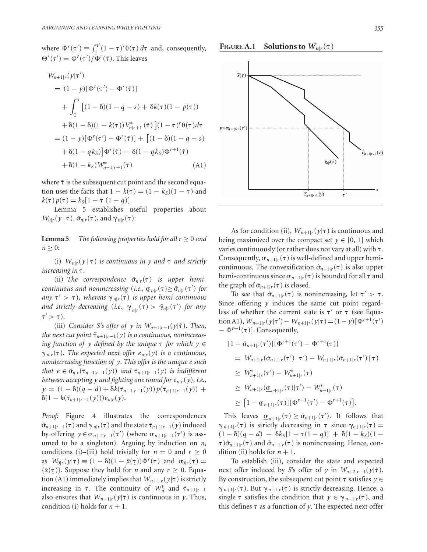where  $\Phi^r(\tau') \equiv \int_{\tau}^{\tau'}$  $\int_{\tau}^{\tau} (1 - \tau)^r \theta(\tau) d\tau$  and, consequently,  $\Theta^r(\tau') = \Phi^r(\tau') / \Phi^r(\bar{\tau})$ . This leaves

$$
W_{n+1|r}(y|\tau')
$$
  
=  $(1 - y)[\Phi^r(\tau') - \Phi^r(\tilde{\tau})]$   
+  $\int_{\tau}^{\tilde{\tau}} [(1 - \delta)(1 - q - s) + \delta k(\tau)(1 - p(\tau))$   
+  $\delta(1 - \delta)(1 - k(\tau))V_{n|r+1}^*(\tilde{\tau})](1 - \tau)^r \theta(\tau) d\tau$   
=  $(1 - y)[\Phi^r(\tau') - \Phi^r(\tilde{\tau})] + [(1 - \delta)(1 - q - s) + \delta(1 - qk_S)]\Phi^r(\tilde{\tau}) - \delta(1 - qk_S)\Phi^{r+1}(\tilde{\tau})$   
+  $\delta(1 - k_S)W_{n-1|r+1}^*(\tilde{\tau})$  (A1)

where  $\tilde{\tau}$  is the subsequent cut point and the second equation uses the facts that  $1 - k(\tau) = (1 - k_S)(1 - \tau)$  and  $k(\tau)p(\tau) = k_S[1 - \tau (1 - q)].$ 

Lemma 5 establishes useful properties about  $W_{n|r}(\gamma | \tau), \hat{\sigma}_{n|r}(\tau)$ , and  $\gamma_{n|r}(\tau)$ :

**Lemma 5***. The following properties hold for all*  $r \geq 0$  *and*  $n \geq 0$ :

(i)  $W_{n|r}(y | \tau)$  *is continuous in y and*  $\tau$  *and strictly increasing in* .

(ii) The correspondence  $\hat{\sigma}_{n|r}(\tau)$  is upper hemi*continuous and nonincreasing* (*i.e.*,  $\sigma_{n|r}(\tau) \geq \bar{\sigma}_{n|r}(\tau')$  *for*  $\sigma_{n|r}(\tau)$  *is upper lami continuous*  $any \tau' > \tau$ ), whereas  $\gamma_{n|r}(\tau)$  *is upper hemi-continuous* and strictly decreasing (*i.e.*,  $\gamma_{n|r}(\tau) > \bar{\gamma}_{n|r}(\tau')$  for any  $\tau' > \tau$ ).

(iii) *Consider S's offer of y in Wn*<sup>+</sup>1|*r*<sup>−</sup>1(*y*|ˆ). *Then, the next cut point*  $\tilde{\tau}_{n+1|r-1}(y)$  *is a continuous, nonincreasing function of y defined by the unique*  $\tau$  *for which*  $y \in$  $\gamma_{n|r}(\tau)$ . *The expected next offer e*<sub>n|*r*</sub>(*y*) *is a continuous*, *nondecreasing function of y. This offer is the unique e such that*  $e \in \hat{\sigma}_{n|r}(\tilde{\tau}_{n+1|r-1}(y))$  *and*  $\tilde{\tau}_{n+1|r-1}(y)$  *is indifferent between accepting y and fighting one round for*  $e_{nlr}(y)$ *, i.e.,*  $y = (1 - \delta)(q - d) + \delta k(\tilde{\tau}_{n+1|r-1}(y))p(\tilde{\tau}_{n+1|r-1}(y)) +$  $\delta(1 - k(\tilde{\tau}_{n+1|r-1}(y)))e_{n|r}(y).$ 

*Proof:* Figure 4 illustrates the correspondences  $\hat{\sigma}_{n+1|r-1}(\tau)$  and  $\gamma_{n|r}(\tau)$  and the state  $\tilde{\tau}_{n+1|r-1}(\gamma)$  induced by offering  $y \in \sigma_{n+1|r-1}(\tau')$  (where  $\sigma_{n+1|r-1}(\tau')$  is assumed to be a singleton). Arguing by induction on *n*, conditions (i)–(iii) hold trivially for  $n = 0$  and  $r \ge 0$ as  $W_{0|r}(y|\tau) \equiv (1-\delta)(1-\tilde{x}(\tau))\Phi^r(\tau)$  and  $\sigma_{0|r}(\tau) =$  ${x \in \mathbb{R}^n \setminus \{y | r, r = \frac{r}{r} \cdot \sigma \setminus \{r, r, r = \frac{r}{r} \cdot \sigma \}}$ . Suppose they hold for *n* and any  $r \geq 0$ . Equation (A1) immediately implies that  $W_{n+1|r}(y|\tau)$  is strictly increasing in  $\tau$ . The continuity of  $W_n^*$  and  $\tilde{\tau}_{n+1|r-1}$ also ensures that  $W_{n+1|r}(y|\tau)$  is continuous in *y*. Thus, condition (i) holds for  $n + 1$ .

**FIGURE** A.1 Solutions to  $W_{nlr}(\tau)$ 



As for condition (ii),  $W_{n+1|r}(y|\tau)$  is continuous and being maximized over the compact set  $y \in [0, 1]$  which varies continuously (or rather does not vary at all) with  $\tau$ . Consequently,  $\sigma_{n+1|r}(\tau)$  is well-defined and upper hemicontinuous. The convexification  $\hat{\sigma}_{n+1|r}(\tau)$  is also upper hemi-continuous since  $\sigma_{n+1|r}(\tau)$  is bounded for all  $\tau$  and the graph of  $\hat{\sigma}_{n+1|r}(\tau)$  is closed.

To see that  $\hat{\sigma}_{n+1|r}(\tau)$  is nonincreasing, let  $\tau' > \tau$ . Since offering *y* induces the same cut point regardless of whether the current state is  $\tau'$  or  $\tau$  (see Equation A1),  $W_{n+1|r}(y|\tau') - W_{n+1|r}(y|\tau) = (1 - y)[\Phi^{r+1}(\tau')]$  $-\Phi^{r+1}(\tau)$ ]. Consequently,

$$
[1 - \bar{\sigma}_{n+1|r}(\tau')] [\Phi^{r+1}(\tau') - \Phi^{r+1}(\tau)]
$$
  
\n
$$
= W_{n+1|r}(\bar{\sigma}_{n+1|r}(\tau') | \tau') - W_{n+1|r}(\bar{\sigma}_{n+1|r}(\tau') | \tau)
$$
  
\n
$$
\geq W_{n+1|r}^*(\tau') - W_{n+1|r}^*(\tau)
$$
  
\n
$$
\geq W_{n+1|r}(\underline{\sigma}_{n+1|r}(\tau) | \tau') - W_{n+1|r}^*(\tau)
$$
  
\n
$$
\geq [1 - \underline{\sigma}_{n+1|r}(\tau)][\Phi^{r+1}(\tau') - \Phi^{r+1}(\tau)].
$$

This leaves  $\underline{\sigma}_{n+1|r}(\tau) \ge \overline{\sigma}_{n+1|r}(\tau')$ . It follows that  $\gamma_{n+1|r}(\tau)$  is strictly decreasing in  $\tau$  since  $\gamma_{n+1|r}(\tau) =$  $(1 - \delta)(q - d) + \delta k_S [1 - \tau(1 - q)] + \delta (1 - k_S)(1 \tau$ ) $\hat{\sigma}_{n+1|r}(\tau)$  and  $\hat{\sigma}_{n+1|r}(\tau)$  is nonincreasing. Hence, condition (ii) holds for  $n + 1$ .

To establish (iii), consider the state and expected next offer induced by *S*'s offer of *y* in  $W_{n+2|r-1}(y|\hat{\tau})$ . By construction, the subsequent cut point  $\tau$  satisfies  $y \in$  $\gamma_{n+1|r}(\tau)$ . But  $\gamma_{n+1|r}(\tau)$  is strictly decreasing. Hence, a single  $\tau$  satisfies the condition that  $y \in \gamma_{n+1|r}(\tau)$ , and this defines  $\tau$  as a function of  $\gamma$ . The expected next offer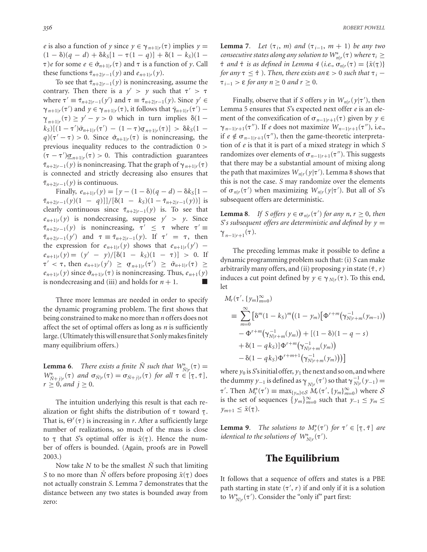*e* is also a function of *y* since  $y \in \gamma_{n+1|r}(\tau)$  implies  $y =$  $(1 - \delta)(q - d) + \delta k_S[1 - \tau(1 - q)] + \delta(1 - k_S)(1 \tau$ )*e* for some  $e \in \hat{\sigma}_{n+1|r}(\tau)$  and  $\tau$  is a function of *y*. Call these functions  $\tilde{\tau}_{n+2|r-1}(y)$  and  $e_{n+1|r}(y)$ .

To see that  $\tilde{\tau}_{n+2|r-1}(y)$  is nonincreasing, assume the contrary. Then there is a  $y' > y$  such that  $\tau' > \tau$ where  $\tau' \equiv \tilde{\tau}_{n+2|r-1}(y')$  and  $\tau \equiv \tilde{\tau}_{n+2|r-1}(y)$ . Since  $y' \in$  $\gamma_{n+1|r}(\tau')$  and  $\gamma \in \gamma_{n+1|r}(\tau)$ , it follows that  $\bar{\gamma}_{n+1|r}(\tau')$  –  $\frac{\gamma}{k}$ <sub>*n*+1|*r*</sub><br> $\frac{1}{k}$  (1  $(\tau) \ge y' - y > 0$  which in turn implies  $\delta(1 \frac{k_S}{(1 - \tau')\bar{\sigma}_{n+1|r}(\tau')} = (1 - \tau)\sigma_{n+1|r}(\tau)] > \delta k_S(1 - \sigma)(\tau' - \tau) > 0$ . Since  $\hat{\sigma}$  ( $\tau$ ) is noningpressing the  $q$ )( $\tau' - \tau$ ) > 0. Since  $\hat{\sigma}_{n+1|r}(\tau)$  is nonincreasing, the previous inequality reduces to the contradiction 0 >  $(\tau - \tau')\underline{\sigma}_{n+1|r}(\tau) > 0$ . This contradiction guarantees  $\tilde{\tau}_{n+2|r-1}(y)$  is nonincreasing. That the graph of  $\gamma_{n+1|r}(\tau)$ is connected and strictly decreasing also ensures that  $\tilde{\tau}_{n+2|r-1}(y)$  is continuous.

Finally,  $e_{n+1|r}(y) = [y - (1 - \delta)(q - d) - \delta k_S[1 \tilde{\tau}_{n+2|r-1}(y)(1-q)]/[\delta(1-k_S)(1-\tilde{\tau}_{n+2|r-1}(y))]$  is clearly continuous since  $\tilde{\tau}_{n+2|r-1}(y)$  is. To see that  $e_{n+1|r}(y)$  is nondecreasing, suppose  $y' > y$ . Since  $\tilde{\tau}_{n+2|r-1}(y)$  is nonincreasing,  $\tau' \leq \tau$  where  $\tau' \equiv$  $\tilde{\tau}_{n+2|r-1}(y')$  and  $\tau \equiv \tilde{\tau}_{n+2|r-1}(y)$ . If  $\tau' = \tau$ , then the expression for  $e_{n+1|r}(y)$  shows that  $e_{n+1|r}(y')$  –  $e_{n+1|r}(y) = (y' - y)/[\delta(1 - k_S)(1 - \tau)] > 0.$  If  $\tau' < \tau$ , then  $e_{n+1|r}(y') \ge \sigma_{n+1|r}(\tau') \ge \bar{\sigma}_{n+1|r}(\tau) \ge$  $e_{n+1|r}(y)$  since  $\hat{\sigma}_{n+1|r}(\tau)$  is nonincreasing. Thus,  $e_{n+1}(y)$ is nondecreasing and (iii) and holds for  $n + 1$ .

Three more lemmas are needed in order to specify the dynamic programing problem. The first shows that being constrained to make no more than *n* offers does not affect the set of optimal offers as long as *n* is sufficiently large. (Ultimately this will ensure that*S* only makes finitely many equilibrium offers.)

**Lemma 6***. There exists a finite*  $\overline{N}$  *such that*  $W_{\overline{N}|r}^*(\tau) =$  $W_{\tilde{N}+j|r}^*(\tau)$  *and*  $\sigma_{\tilde{N}|r}(\tau) = \sigma_{\tilde{N}+j|r}(\tau)$  *for all*  $\tau \in [\tau, \bar{\tau}],$  $r \geq 0$ *, and*  $j \geq 0$ *.* 

The intuition underlying this result is that each realization or fight shifts the distribution of  $\tau$  toward  $\underline{\tau}$ . That is,  $\Theta^r(\tau)$  is increasing in *r*. After a sufficiently large number of realizations, so much of the mass is close to  $\tau$  that *S*'s optimal offer is  $\tilde{x}(\tau)$ . Hence the num-<br>her of offers is bounded (Again, proofs are in Pougll ber of offers is bounded. (Again, proofs are in Powell 2003.)

Now take *N* to be the smallest  $\overline{N}$  such that limiting *S* to no more than  $\bar{N}$  offers before proposing  $\tilde{x}(\tau)$  does ¯ not actually constrain *S*. Lemma 7 demonstrates that the distance between any two states is bounded away from zero:

**Lemma 7***. Let*  $(\tau_i, m)$  *and*  $(\tau_{i-1}, m + 1)$  *be any two consecutive states along any solution to*  $W_{n|r}^*(\tau)$  *where*  $\tau_i \geq$  $\hat{\tau}$  *and*  $\hat{\tau}$  *is as defined in Lemma 4 (i.e.,*  $\sigma_{n|r}(\tau) = {\tilde{x}(\tau)}$ *for any*  $\tau \leq \hat{\tau}$  ). *Then, there exists an*  $\epsilon > 0$  *such that*  $\tau_i$  −  $\tau_{i-1} > \varepsilon$  *for any n* ≥ 0 *and r* ≥ 0.

Finally, observe that if *S* offers *y* in  $W_{n|r}(y|\tau')$ , then Lemma 5 ensures that *S*'s expected next offer *e* is an element of the convexification of  $\sigma_{n-1|r+1}(\tau)$  given by  $y \in$ *γ*<sub>*n*−1|*r*+1</sub>( $\tau$ <sup>*''*</sup>). If *e* does not maximize  $W_{n-1|r+1}(\tau'')$ , i.e., if *e* ∉  $\sigma$ <sub>*n*−1|*r*+1</sub>( $\tau$ <sup>*''*</sup>), then the game-theoretic interpretation of *e* is that it is part of a mixed strategy in which *S* randomizes over elements of  $\sigma_{n-1|r+1}(\tau'')$ . This suggests that there may be a substantial amount of mixing along the path that maximizes  $W_{n|r}(y|\tau')$ . Lemma 8 shows that this is not the case. *S* may randomize over the elements of  $\sigma_{n|r}(\tau')$  when maximizing  $W_{n|r}(\gamma|\tau')$ . But all of *S*'s subsequent offers are deterministic.

**Lemma 8***. If S offers*  $y \in \sigma_{n|r}(\tau')$  *for any n, r*  $\geq 0$ *, then S*'*s* subsequent offers are deterministic and defined by  $y =$  $\gamma_{n-1|r+1}(\tau)$ .

The preceding lemmas make it possible to define a dynamic programming problem such that: (i) *S* can make arbitrarily many offers, and (ii) proposing *y* in state  $(\hat{\tau}, r)$ induces a cut point defined by  $y \in \gamma_{N|r}(\tau)$ . To this end, let

$$
M_r(\tau', \{y_m\}_{m=0}^{\infty})
$$
  
\n
$$
\equiv \sum_{m=0}^{\infty} \left[ \delta^m (1 - k_S)^m \big( (1 - y_m) \big[ \Phi^{r+m} (\gamma_{N|r+m}^{-1} (y_{m-1})) \big] - \Phi^{r+m} (\gamma_{N|r+m}^{-1} (y_m)) + \left[ (1 - \delta)(1 - q - s) \right] + \delta (1 - q k_S) \Phi^{r+m} (\gamma_{N|r+m}^{-1} (y_m)) - \delta (1 - q k_S) \Phi^{r+m+1} (\gamma_{N|r+m}^{-1} (y_m)) ) \right]
$$

where  $y_0$  is *S*'s initial offer,  $y_1$  the next and so on, and where the dummy  $y_{-1}$  is defined as  $\gamma_{N|r}(\tau')$  so that  $\gamma_{N|r}^{-1}(y_{-1}) =$  $\tau'$ . Then  $M_r^*(\tau') \equiv \max_{\{y_m\} \in S} M_r(\tau', \{y_m\}_{m=0}^{\infty})$  where S is the set of sequences  $\{y_m\}_{m=0}^{\infty}$  such that  $y_{-1} \le y_m \le$  $y_{m+1} \leq \tilde{x}(\tau).$ 

**Lemma 9***. The solutions to*  $M_r^*(\tau')$  *for*  $\tau' \in [\tau, \bar{\tau}]$  *are*<br>*identical to the colutions of*  $M_r^*(\tau')$ *identical to the solutions of*  $W^*_{N|r}(\tau')$ .

## **The Equilibrium**

It follows that a sequence of offers and states is a PBE path starting in state  $(\tau', r)$  if and only if it is a solution to  $W^*_{N|r}(\tau')$ . Consider the "only if" part first: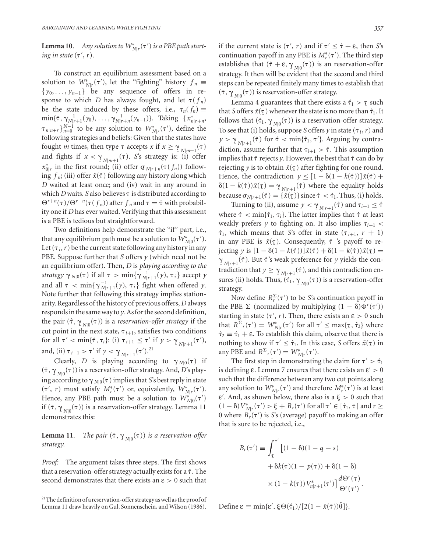**Lemma 10.** Any solution to  $W^*_{N|r}(\tau')$  is a PBE path start*ing in state*  $(\tau', r)$ *.* 

To construct an equilibrium assessment based on a solution to  $W^*_{N|r}(\tau')$ , let the "fighting" history  $f_n \equiv$ {*y*0, ... , *yn*<sup>−</sup>1} be any sequence of offers in response to which *D* has always fought, and let  $\tau(f_n)$ be the state induced by these offers, i.e.,  $\tau_n(f_n) \equiv$  $\min{\{\bar{\tau}, \gamma_{N|r+1}^{-1}(\gamma_0), \ldots, \gamma_{N|r+n}^{-1}(\gamma_{n-1})\}}$ . Taking  $\{x_{n|r+n}^*$  $\{\tau_{n|n+r}\}_{n=0}^{N-1}$  to be any solution to  $W^*_{N|r}(\tau')$ , define the following strategies and beliefs: Given that the states have fought *m* times, then type  $\tau$  accepts *x* if  $x \ge \gamma_{N|m+1}(\tau)$ <br>and fights if  $x < \gamma_{N}$  ( $\tau$ ). So strategy is: (i) offer and fights if  $x < \gamma_{N|m+1}(\tau)$ . *S*'s strategy is: (i) offer<br>  $x^*$  in the first round: (ii) offer  $\sigma$  ( $\tau(f)$ ) follow  $x_{0|r}^*$  in the first round; (ii) offer  $\sigma_{N|r+n}(\tau(f_n))$  following  $f_n$ ; (iii) offer  $\tilde{x}(\bar{\tau})$  following any history along which *D* waited at least once; and (iv) wait in any around in which *D* waits. *S* also believes  $\tau$  is distributed according to  $\Theta^{r+n}(\tau)/\Theta^{r+n}(\tau(f_n))$  after  $f_n$  and  $\tau = \bar{\tau}$  with probability one if *D* has ever waited. Verifying that this assessment is a PBE is tedious but straightforward.

Two definitions help demonstrate the "if" part, i.e., that any equilibrium path must be a solution to  $W^*_{N|0}(\tau').$ Let  $(\tau_i, r)$  be the current state following any history in any PBE. Suppose further that *S* offers *y* (which need not be an equilibrium offer). Then, *D* is *playing according to the*  $strategy \gamma_{N|0}(\tau)$  if all  $\tau > min\{\gamma_{N|r+1}^{-1}(\gamma), \tau_i\}$  accept  $\gamma$ and all  $\tau < \min\{\gamma_{N|r+1}^{-1}(\gamma), \tau_i\}$  fight when offered *y*. Note further that following this strategy implies stationarity. Regardless of the history of previous offers, *D* always responds in the same way to*y*. As for the second definition, the pair  $(\hat{\tau}, \gamma_{N0}(\tau))$  is a *reservation-offer strategy* if the  $\frac{1}{N}$  *N*|0<sup>(+)</sup>) is a *first valient office stategy* in the cut point in the next state,  $\tau_{i+1}$ , satisfies two conditions for all  $\tau' < \min{\{\hat{\tau}, \tau_i\}}$ : (i)  $\tau_{i+1} \leq \tau'$  if  $y > \gamma_{N|r+1}$ <br>and (ii)  $\tau_{i+1} \leq \tau'_{i}$  if  $y \leq \gamma_{N|r+1}$  $(\tau'),$ and, (ii)  $\tau_{i+1} > \tau'$  if  $y < \gamma_{N|r+1}$ <br>Clearly *D* is playing 20  $(\tau').^{21}$ 

Clearly, *D* is playing according to  $\gamma_{N|0}(\tau)$  if  $(\bar{\tau}, \gamma_{N10}(\tau))$  is a reservation-offer strategy. And, *D*'s play- $\frac{Y}{N}$   $\frac{N}{N}$   $\frac{N}{N}$  is a reservation offer strategy. This, *D* s play in state  $(\tau', r)$  must satisfy  $M_r^*(\tau')$  or, equivalently,  $W_{N|r}^*(\tau').$ Hence, any PBE path must be a solution to  $W^*_{N|0}(\tau')$ if  $(\bar{\tau}, \gamma_{N00}(\tau))$  is a reservation-offer strategy. Lemma 11  $\lim_{M \to \infty} \frac{I_{N|0}(V)}{I_N}$  is a

**Lemma 11***. The pair*  $(\bar{\tau}, \gamma_{N|0}(\tau))$  *is a reservation-offer strategy strategy.*

*Proof:* The argument takes three steps. The first shows that a reservation-offer strategy actually exists for a  $\hat{\tau}$ . The second demonstrates that there exists an  $\epsilon > 0$  such that

if the current state is  $(\tau', r)$  and if  $\tau' \leq \hat{\tau} + \varepsilon$ , then *S*'s continuation payoff in any PBE is  $M_r^*(\tau')$ . The third step establishes that  $(\hat{\tau} + \varepsilon, \gamma_{N10}(\tau))$  is an reservation-offer  $\frac{M_{N}}{N}$ . It then will be evident that the second and third steps can be repeated finitely many times to establish that  $(\bar{\tau}, \gamma_{N00}(\tau))$  is reservation-offer strategy.

 $\frac{Y_{N|0}(Y)}{Y_{N|0}(Y)}$  is reservation offer strategy.<br>Lemma 4 guarantees that there exists a  $\hat{\tau}_1 > \tau$  such<br>Soffers  $\hat{\varepsilon}(z)$  whenever the state is no more than  $\hat{\tau}_1$ . that *S* offers  $\tilde{x}(\tau)$  whenever the state is no more than  $\hat{\tau}_1$ . It follows that  $(\hat{\tau}_1, \gamma_{N10}(\tau))$  is a reservation-offer strategy. To see that (i) holds, suppose *S* offers *y* in state ( $\tau_i$ , *r*) and  $y > \gamma_{N|r+1}(\hat{\tau})$  for  $\hat{\tau} < \min{\{\hat{\tau}_1, \tau'\}}$ . Arguing by contra- $\int_{0}^{7}$   $\int_{N}|r+1|$ ,  $\int_{N}^{7}$  for  $\int_{0}^{7}$   $\int_{N}|r+1|$ ,  $\int_{N}^{7}$ ,  $\int_{N}^{7}$ ,  $\int_{N}^{7}$   $\int_{N}^{7}$   $\int_{N}^{7}$   $\int_{N}^{7}$   $\int_{N}^{7}$   $\int_{N}^{7}$   $\int_{N}^{7}$   $\int_{N}^{7}$   $\int_{N}^{7}$   $\int_{N}^{7}$   $\int_{N}^{7}$   $\int_{N}^{7}$   $\$ implies that  $\hat{\tau}$  rejects *y*. However, the best that  $\hat{\tau}$  can do by rejecting  $y$  is to obtain  $\tilde{x}(\tau)$  after fighting for one round. Hence, the contradiction  $y \leq [1 - \delta(1 - k(\hat{\tau}))]\tilde{x}(\hat{\tau}) +$  $\delta(1 - k(\hat{\tau})) \tilde{x}(\tau) = \gamma_{N|\tau+1}(\hat{\tau})$  where the equality holds because  $\sigma_{N|r+1}(\hat{\tau}) = \{\tilde{x}(\tau)\}\text{ since } \hat{\tau} < \hat{\tau}_1$ . Thus, (i) holds.

Turning to (ii), assume  $y < \gamma_{N/r+1}(\hat{\tau})$  and  $\tau_{i+1} \leq \hat{\tau}$ where  $\hat{\tau} < \min{\{\hat{\tau}_1, \tau_i\}}$ . The latter implies that  $\hat{\tau}$  at least weakly prefers *y* to fighting on. It also implies  $\tau_{i+1}$  <  $\hat{\tau}_1$ , which means that *S*'s offer in state ( $\tau_{i+1}$ ,  $r + 1$ ) in any PBE is  $\tilde{x}(\tau)$ . Consequently,  $\hat{\tau}$  's payoff to re- $\int$  in any 122 is  $u(\frac{1}{2})$ . Some quantity,  $v = \int u^2 f(x) \sin \theta \, dx$ <br>jecting *y* is  $[1 - \delta(1 - k(\hat{\tau})) \cdot \tilde{x}(\hat{\tau}) + \delta(1 - k(\hat{\tau})) \cdot \tilde{x}(\tau) = 0$  $\gamma_{N_{n+1}}(\hat{\tau})$ . But  $\hat{\tau}$ 's weak preference for *y* yields the con- $\frac{1}{2}N|_{r+1}$ ,  $\ldots$  but  $t \leq N$  weak preference for *f*  $f$  fields the contradiction entradiction that  $y \geq \gamma_{N|x+1}(\hat{\tau})$ , and this contradiction ensures (ii) holds. Thus,  $(\hat{\tau}_1, \gamma_{N|0}(\tau))$  is a reservation-offer<br>strategy strategy.

Now define  $R_r^{\Sigma}(\tau')$  to be *S*'s continuation payoff in the PBE  $\Sigma$  (normalized by multiplying  $(1 - \delta)\Phi^r(\tau')$ ) starting in state  $(\tau', r)$ . Then, there exists an  $\varepsilon > 0$  such that  $R^{\Sigma}$ <sub>r</sub>( $\tau'$ ) =  $W^*_{N|r}(\tau')$  for all  $\tau' \leq \max{\{\tau, \hat{\tau}_2\}}$  where  $\hat{\tau}_2 \equiv \hat{\tau}_1 + \varepsilon$ . To establish this claim, observe that there is nothing to show if  $\tau' \leq \hat{\tau}_1$ . In this case, *S* offers  $\tilde{x}(\tau)$  in any PBE and  $R^{\Sigma}{}_{r}(\tau') = W^*_{N|r}(\tau').$ 

The first step in demonstrating the claim for  $\tau' > \hat{\tau}_1$ is defining  $\varepsilon$ . Lemma 7 ensures that there exists an  $\varepsilon' > 0$ such that the difference between any two cut points along any solution to  $W^*_{N|r}(\tau')$  and therefore  $M^*_r(\tau')$  is at least  $\varepsilon'$ . And, as shown below, there also is a  $\xi > 0$  such that  $(1 – δ) V^*_{N|r}(\tau') > ξ + B_r(\tau')$  for all  $\tau' ∈ [\hat{\tau}_1, \bar{\tau}]$  and  $r ≥$ 0 where  $B_r(\tau')$  is *S*'s (average) payoff to making an offer that is sure to be rejected, i.e.,

$$
B_r(\tau') \equiv \int_{\tau}^{\tau'} \left[ (1 - \delta)(1 - q - s) + \delta k(\tau)(1 - p(\tau)) + \delta(1 - \delta) \right]
$$

$$
\times (1 - k(\tau)) V_{n|r+1}^*(\tau') \frac{d\Theta^r(\tau)}{\Theta^r(\tau')}
$$

.

Define  $\epsilon \equiv \min{\lbrace \epsilon', \xi \Theta(\hat{\tau}_1) / [2(1 - \tilde{x}(\bar{\tau}))\bar{\theta} ] \rbrace}.$ 

<sup>&</sup>lt;sup>21</sup>The definition of a reservation-offer strategy as well as the proof of Lemma 11 draw heavily on Gul, Sonnenschein, and Wilson (1986).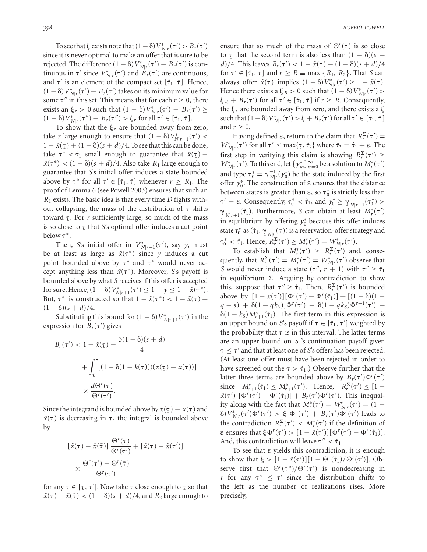To see that  $\xi$  exists note that  $(1 - \delta) V^*_{N|r}(\tau') > B_r(\tau')$ since it is never optimal to make an offer that is sure to be rejected. The difference  $(1 - \delta) V^*_{N|r}(\tau') - B_r(\tau')$  is continuous in  $\tau'$  since  $V^*_{N|r}(\tau')$  and  $B_r(\tau')$  are continuous, and  $\tau'$  is an element of the compact set  $[\hat{\tau}_1, \bar{\tau}]$ . Hence,  $(1 - \delta) V^*_{N|r}(\tau') - B_r(\tau')$  takes on its minimum value for some  $\tau''$  in this set. This means that for each  $r \geq 0$ , there exists an  $\xi_r > 0$  such that  $(1 - \delta)V^*_{N|r}(\tau') - B_r(\tau') \ge$  $(1 - \delta) V^*_{N|r}(\tau'') - B_r(\tau'') > \xi_r$  for all  $\tau' \in [\hat{\tau}_1, \bar{\tau}].$ 

To show that the  $\xi_r$  are bounded away from zero, take *r* large enough to ensure that  $(1 - \delta) V^*_{N|r+1}(\tau')$  <  $1 - \tilde{x}(\tau) + (1 - \delta)(s + d)/4$ . To see that this can be done, take  $\tau^* < \hat{\tau}_1$  small enough to guarantee that  $\tilde{x}(\tau)$  –  $\tilde{x}(\tau^*) < (1 - \delta)(s + d)/4$ . Also take  $R_1$  large enough to guarantee that *S*'s initial offer induces a state bounded above by  $\tau^*$  for all  $\tau' \in [\hat{\tau}_1, \bar{\tau}]$  whenever  $r \geq R_1$ . The proof of Lemma 6 (see Powell 2003) ensures that such an *R*<sup>1</sup> exists. The basic idea is that every time *D* fights without collapsing, the mass of the distribution of  $\tau$  shifts toward T. For *r* sufficiently large, so much of the mass is so close to  $\tau$  that *S*'s optimal offer induces a cut point<br>helow  $\tau^*$ below  $\tau^*$ .

Then, *S*'s initial offer in  $V^*_{N|r+1}(\tau')$ , say *y*, must be at least as large as  $\tilde{x}(\tau^*)$  since *y* induces a cut point bounded above by  $\tau^*$  and  $\tau^*$  would never accept anything less than  $\tilde{x}(\tau^*)$ . Moreover, *S*'s payoff is bounded above by what *S* receives if this offer is accepted for sure. Hence,  $(1 - \delta) V^*_{N|r+1}(\tau') \le 1 - y \le 1 - \tilde{x}(\tau^*).$ But,  $\tau^*$  is constructed so that  $1 - \tilde{x}(\tau^*) < 1 - \tilde{x}(\tau) +$  $(1 - \delta)(s + d)/4.$ 

Substituting this bound for  $(1 - \delta) V^*_{N|r+1}(\tau')$  in the expression for  $B_r(\tau')$  gives

$$
B_r(\tau') < 1 - \tilde{x}(\tau) - \frac{3(1 - \delta)(s + d)}{4}
$$
\n
$$
+ \int_{\tau}^{\tau'} \left[ (1 - \delta(1 - k(\tau)))(\tilde{x}(\tau) - \tilde{x}(\tau)) \right]
$$
\n
$$
\times \frac{d\Theta^r(\tau)}{\Theta^r(\tau')}.
$$

Since the integrand is bounded above by  $\tilde{x}(\tau) - \tilde{x}(\tau)$  and  $\tilde{x}(\tau)$  is decreasing in  $\tau$ , the integral is bounded above by

$$
\begin{aligned} \left[\tilde{x}(\tau) - \tilde{x}(\tilde{\tau})\right] \frac{\Theta^r(\tilde{\tau})}{\Theta^r(\tau')} + \left[\tilde{x}(\tau) - \tilde{x}(\tau')\right] \\ &\times \frac{\Theta^r(\tau') - \Theta^r(\tilde{\tau})}{\Theta^r(\tau')} \end{aligned}
$$

for any  $\tilde{\tau} \in [\tau, \tau']$ . Now take  $\tilde{\tau}$  close enough to  $\underline{\tau}$  so that  $\tilde{x}(\tau) - \tilde{x}(\tilde{\tau}) < (1 - \delta)(s + d)/4$ , and *R*<sub>2</sub> large enough to ensure that so much of the mass of  $\Theta^r(\tau)$  is so close to  $\tau$  that the second term is also less than  $(1 - \delta)(s + d)/4$ . This leaves  $P(\tau') \le 1 - \tilde{g}(\tau) - (1 - \delta)(s + d)/4$ . *d*)/4. This leaves  $B_r(\tau') < 1 - \tilde{x}(\tau) - (1 - \delta)(s + d)/4$ for  $\tau' \in [\hat{\tau}_1, \bar{\tau}]$  and  $r \ge R \equiv \max{\{R_1, R_2\}}$ . That *S* can always offer  $\tilde{x}(\tau)$  implies  $(1 - \delta) V^*_{N|r}(\tau') \ge 1 - \tilde{x}(\tau)$ . Hence there exists a  $\xi_R > 0$  such that  $(1 - \delta)V_{N|r}^*(\tau') >$  $\xi_R + B_r(\tau')$  for all  $\tau' \in [\hat{\tau}_1, \bar{\tau}]$  if  $r \ge R$ . Consequently, the  $\xi_r$  are bounded away from zero, and there exists a  $\xi$ such that  $(1 - \delta) V^*_{N|r}(\tau') > \xi + B_r(\tau')$  for all  $\tau' \in [\hat{\tau}_1, \bar{\tau}]$ and  $r \geq 0$ .

Having defined ε, return to the claim that  $R_r^{\Sigma}(\tau') =$  $W^*_{N|r}(\tau')$  for all  $\tau'$  ≤ max{τ<sub>ι</sub>  $\hat{\tau}_2$ } where  $\hat{\tau}_2 = \hat{\tau}_1 + \varepsilon$ . The first step in verifying this claim is showing  $R_r^{\Sigma}(\tau') \geq$  $W^*_{N|r}(\tau')$ . To this end, let  $\{y^*_m\}_{m=0}^\infty$  be a solution to  $M^*_r(\tau')$ and type  $\tau_0^* = \gamma_{N|r}^{-1}(y_0^*)$  be the state induced by the first offer  $y_0^*$ . The construction of ε ensures that the distance between states is greater than  $\varepsilon$ , so  $\tau_0^*$  is strictly less than  $τ' – ε$ . Consequently,  $τ_0^* < τ_1$ , and  $y_0^* ≥ γ_{N|r+1}(τ_0^*) >$  $\gamma_{N|r+1}(\hat{\tau}_1)$ . Furthermore, *S* can obtain at least<br>in equilibrium by offering  $v^*$  because this offer in  $(\hat{\tau}_1)$ . Furthermore, *S* can obtain at least  $M_r^*(\tau')$ in equilibrium by offering  $y_0^*$  because this offer induces state  $\tau_0^*$  as  $(\hat{\tau}_1, \gamma_{N0}(\tau))$  is a reservation-offer strategy and  $\tau_0^* < \hat{\tau}_1$ . Hence,  $R_r^{\Sigma}(\tau') \ge M_r^*(\tau') = W_{N|r}^*(\tau').$ 

To establish that  $M_r^*(\tau') \geq R_r^{\Sigma}(\tau')$  and, consequently, that  $R_r^{\Sigma}(\tau') = M_r^*(\tau') = W_{N|r}^*(\tau')$  observe that *S* would never induce a state  $(\tau'', r + 1)$  with  $\tau'' \geq \hat{\tau}_1$ in equilibrium  $\Sigma$ . Arguing by contradiction to show this, suppose that  $\tau'' \geq \hat{\tau}_1$ . Then,  $R_r^{\Sigma}(\tau')$  is bounded above by  $[1 - \tilde{x}(\tau')] [\Phi^r(\tau') - \Phi^r(\hat{\tau}_1)] + [(1 - \delta)(1$  $q - s$ ) +  $\delta(1 - qk_s)$ ] $\Phi^r(\tau') - \delta(1 - qk_s)\Phi^{r+1}(\tau')$  +  $\delta(1 - k_S) M_{r+1}^*(\hat{\tau}_1)$ . The first term in this expression is an upper bound on *S*'s payoff if  $\tau \in [\hat{\tau}_1, \tau']$  weighted by the probability that  $\tau$  is in this interval. The latter terms are an upper bound on *S* 's continuation payoff given  $\tau \leq \tau'$  and that at least one of *S*'s offers has been rejected. (At least one offer must have been rejected in order to have screened out the  $\tau > \hat{\tau}_1$ .) Observe further that the latter three terms are bounded above by  $B_r(\tau')\Phi^r(\tau')$ since  $M_{r+1}^*(\hat{\tau}_1) \leq M_{r+1}^*(\tau')$ . Hence,  $R_r^{\Sigma}(\tau') \leq [1 - \frac{1}{r}$  $\tilde{x}(\tau')\left[\Phi^r(\tau') - \Phi^r(\hat{\tau}_1)\right] + B_r(\tau')\Phi^r(\tau')$ . This inequality along with the fact that  $M_r^*(\tau') = W_{N|r}^*(\tau') = (1 - \tau')$ δ)  $V^*_{N|r}(\tau')\Phi^r(\tau') > ξ \Phi^r(\tau') + B_r(\tau')\Phi^r(\tau')$  leads to the contradiction  $R_r^{\Sigma}(\tau') < M_r^*(\tau')$  if the definition of **ε** ensures that  $\xi \Phi^r(\tau') > [1 - \tilde{x}(\tau')] [\Phi^r(\tau') - \Phi^r(\hat{\tau}_1)].$ And, this contradiction will leave  $\tau'' < \hat{\tau}_1$ .

To see that ε yields this contradiction, it is enough to show that  $\xi > [1 - \tilde{x}(\tau')] [1 - \Theta^r(\hat{\tau}_1)/\Theta^r(\tau')]$ . Observe first that  $\Theta^r(\tau^*)/\Theta^r(\tau')$  is nondecreasing in *r* for any  $\tau^* \leq \tau'$  since the distribution shifts to the left as the number of realizations rises. More precisely,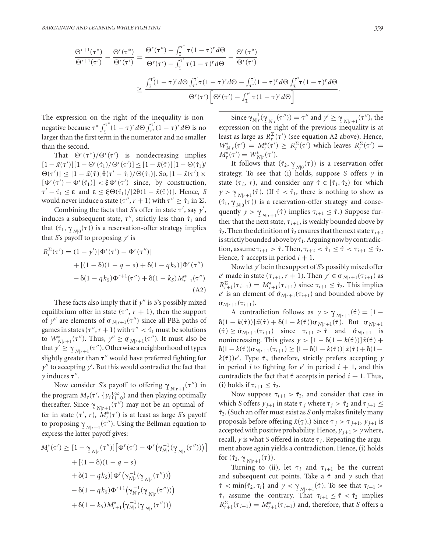$$
\frac{\Theta^{r+1}(\tau^*)}{\Theta^{r+1}(\tau')} - \frac{\Theta^r(\tau^*)}{\Theta^r(\tau')} = \frac{\Theta^r(\tau^*) - \int_{\tau}^{\tau^*} \tau(1-\tau)^r d\Theta}{\Theta^r(\tau') - \int_{\tau}^{\tau'} \tau(1-\tau)^r d\Theta} - \frac{\Theta^r(\tau^*)}{\Theta^r(\tau')}
$$

$$
\geq \frac{\int_{\tau}^{\tau^*}(1-\tau)^r d\Theta \int_{\tau^*}^{\tau'} \tau(1-\tau)^r d\Theta - \int_{\tau^*}^{\tau'}(1-\tau)^r d\Theta \int_{\tau}^{\tau^*} \tau(1-\tau)^r d\Theta}{\Theta^r(\tau') \left[\Theta^r(\tau') - \int_{\tau}^{\tau'} \tau(1-\tau)^r d\Theta\right]}.
$$

The expression on the right of the inequality is nonnegative because  $\tau^* \int_{\tau}^{\tau^*}$ <sup>*r*</sup><sup> $\int_1^{\tau} (1 - \tau)^r d\Theta \int_{\tau}^{\tau'} (1 - \tau)^r d\Theta$  is no</sup> larger than the first term in the numerator and no smaller than the second.

That  $\Theta^r(\tau^*)/\Theta^r(\tau')$  is nondecreasing implies  $[1 - \tilde{x}(\tau')] [1 - \Theta^r(\hat{\tau}_1)/\Theta^r(\tau')] \leq [1 - \tilde{x}(\bar{\tau})] [1 - \Theta(\hat{\tau}_1)]$  $\Theta(\tau')$ ]  $\leq [1 - \tilde{x}(\bar{\tau})] \bar{\theta}(\tau' - \hat{\tau}_1) / \Theta(\hat{\tau}_1)$ ]. So,  $[1 - \tilde{x}(\tau')] \times$  $[\Phi^r(\tau') - \Phi^r(\hat{\tau}_1)] < \xi \Phi^r(\tau')$  since, by construction,  $\tau' - \hat{\tau}_1 \leq \varepsilon$  and  $\varepsilon \leq \xi \Theta(\hat{\tau}_1)/[2\bar{\theta}(1-\tilde{x}(\bar{\tau}))]$ . Hence, *S* would never induce a state  $(\tau'', r + 1)$  with  $\tau'' \geq \hat{\tau}_1$  in  $\Sigma$ .

Combining the facts that *S*'s offer in state  $\tau'$ , say  $y'$ , induces a subsequent state,  $\tau''$ , strictly less than  $\hat{\tau}_1$  and that  $(\hat{\tau}_1, \gamma_{N10}(\tau))$  is a reservation-offer strategy implies that *S*'s payoff to proposing *y'* is

$$
R_r^{\Sigma}(\tau') = (1 - y')[\Phi^r(\tau') - \Phi^r(\tau'')]
$$
  
+ 
$$
[(1 - \delta)(1 - q - s) + \delta(1 - qk_S)]\Phi^r(\tau'')
$$
  
- 
$$
\delta(1 - qk_S)\Phi^{r+1}(\tau'') + \delta(1 - k_S)M_{r+1}^*(\tau'')
$$
(A2)

These facts also imply that if  $y''$  is *S*'s possibly mixed equilibrium offer in state  $(\tau'', r + 1)$ , then the support of y'' are elements of  $\sigma_{N|r+1}(\tau'')$  since all PBE paths of games in states  $(\tau'', r + 1)$  with  $\tau'' < \hat{\tau}_1$  must be solutions to  $W^*_{N|r+1}(\tau'')$ . Thus,  $y'' \ge \sigma_{N|r+1}(\tau'')$ . It must also be that  $y' \ge \gamma_{N+1,1}(\tau'')$ . Otherwise a neighborhood of types slightly greater than  $\tau''$  would have preferred fighting for  $y''$  to accepting  $y'$ . But this would contradict the fact that  $\gamma$  induces  $\tau''$ .

Now consider S's payoff to offering  $\gamma_{N!_{r+1}}(\tau'')$  in the program  $M_r(\tau', \{y_i\}_{i=0}^\infty)$  and then playing optimally thereafter. Since  $\gamma_{N!r+1}(\tau'')$  may not be an optimal offer in state  $(\tau', r)$ ,  $M_r^*(\tau')$  is at least as large *S*'s payoff to proposing  $\underline{Y}_{N|r+1}$ <br>express the latter pay  $(\tau'')$ . Using the Bellman equation to express the latter payoff gives:

$$
M_r^*(\tau') \ge [1 - \gamma_{N|r}(\tau'')]\big[\Phi^r(\tau') - \Phi^r(\gamma_{N|r}^{-1}(\gamma_{N|r}(\tau'')))\big] + [(1 - \delta)(1 - q - s) + \delta(1 - qk_S)]\Phi^r(\gamma_{N|r}^{-1}(\gamma_{N|r}(\tau'')))- \delta(1 - qk_S)\Phi^{r+1}(\gamma_{N|r}^{-1}(\gamma_{N|r}(\tau'')))+ \delta(1 - k_S)M_{r+1}^*(\gamma_{N|r}^{-1}(\gamma_{N|r}(\tau'')))
$$

Since  $\gamma_{N|r}^{-1}(\gamma_{N|r}(\tau'')) = \tau''$  and  $y' \ge \gamma_{N|r+1}(\tau'')$ , the  $\frac{M_{r} \cdot I_{N_{r}} \cdot I_{N_{r}} \cdot I_{N_{r}}}{I_{N_{r}} \cdot I_{N_{r}}}$  expression on the right of the previous inequality is at least as large as  $R_r^{\Sigma}(\tau')$  (see equation A2 above). Hence,  $W^*_{N|r}(\tau') = M^*_{r}(\tau') \ge R^{\Sigma}_{r}(\tau')$  which leaves  $R^{\Sigma}_{r}(\tau') =$  $M_r^*(\tau') = W_{N|r}^*(\tau').$ 

It follows that  $(\hat{\tau}_2, \gamma_{N|0}(\tau))$  is a reservation-offer<br>regy. To see that (i) holds suppose S offers *y* in strategy. To see that (i) holds, suppose *S* offers *y* in state  $(\tau_i, r)$ , and consider any  $\hat{\tau} \in [\hat{\tau}_1, \hat{\tau}_2]$  for which  $y > \gamma_{N|r+1}(\hat{\tau})$ . (If  $\hat{\tau} < \hat{\tau}_1$ , there is nothing to show as  $(\hat{\tau}_1, \gamma_{N|I}(\tau))$  is a reservation-offer strategy and consequently  $y > \gamma_{N|x+1}(\hat{\tau})$  implies  $\tau_{i+1} \leq \hat{\tau}$ .) Suppose further that the next state,  $\tau_{i+1}$ , is weakly bounded above by  $\hat{\tau}_2$ . Then the definition of  $\hat{\tau}_2$  ensures that the next state  $\tau_{i+2}$ is strictly bounded above by  $\hat{\tau}_1$ . Arguing now by contradiction, assume  $\tau_{i+1} > \hat{\tau}$ . Then,  $\tau_{i+2} < \hat{\tau}_1 \leq \hat{\tau} < \tau_{i+1} \leq \hat{\tau}_2$ . Hence,  $\hat{\tau}$  accepts in period  $i + 1$ .

Now let y' be in the support of *S*'s possibly mixed offer  $e'$  made in state  $(\tau_{i+1}, r + 1)$ . Then  $y' \in \sigma_{N|r+1}(\tau_{i+1})$  as  $R_{r+1}^{\Sigma}(\tau_{i+1}) = M_{r+1}^*(\tau_{i+1})$  since  $\tau_{i+1} \leq \hat{\tau}_2$ . This implies  $e'$  is an element of  $\hat{\sigma}_{N|r+1}(\tau_{i+1})$  and bounded above by  $\bar{\sigma}_{N|r+1}(\tau_{i+1}).$ 

A contradiction follows as  $y > \gamma_{N!+1}(\hat{\tau}) = [1 \delta(1 - k(\hat{\tau})) \vec{x}(\hat{\tau}) + \delta(1 - k(\hat{\tau})) \vec{v}_{N|r+1}(\hat{\tau})$ . But  $\sigma_{N|r+1}(\hat{\tau}) > \bar{\sigma}$  ( $\tau$ ) since  $\tau > \hat{\sigma}$  and  $\hat{\sigma}$  is  $(\hat{\tau}) \geq \bar{\sigma}_{N|r+1}(\tau_{i+1})$  since  $\tau_{i+1} > \hat{\tau}$  and  $\hat{\sigma}_{N|r+1}$  is nonincreasing. This gives  $y > [1 - \delta(1 - k(\hat{\tau}))]\tilde{x}(\hat{\tau}) +$  $\delta(1 - k(\hat{\tau}))\bar{\sigma}_{N|r+1}(\tau_{i+1}) \geq [1 - \delta(1 - k(\hat{\tau}))]\tilde{x}(\hat{\tau}) + \delta(1 - \hat{\tau})$  $k(\hat{\tau})$ )*e'*. Type  $\hat{\tau}$ , therefore, strictly prefers accepting *y* in period *i* to fighting for  $e'$  in period  $i + 1$ , and this contradicts the fact that  $\hat{\tau}$  accepts in period  $i + 1$ . Thus, (i) holds if  $\tau_{i+1} \leq \hat{\tau}_2$ .

Now suppose  $\tau_{i+1} > \hat{\tau}_2$ , and consider that case in which *S* offers  $y_{i+1}$  in state  $\tau_i$  where  $\tau_i > \hat{\tau}_2$  and  $\tau_{i+1} \leq$ ˆ2. (Such an offer must exist as *S* only makes finitely many proposals before offering  $\tilde{x}(\tau)$ .) Since  $\tau_j > \tau_{j+1}, y_{j+1}$  is  $\frac{1}{2}$  accepted with positive probability. Hence,  $y_{j+1} > y$  where, recall,  $\gamma$  is what *S* offered in state  $\tau_i$ . Repeating the argument above again yields a contradiction. Hence, (i) holds for  $(\hat{\tau}_2, \gamma_{N|r+1}(\tau))$ .<br>Turning to (ii)

Turning to (ii), let  $\tau_i$  and  $\tau_{i+1}$  be the current and subsequent cut points. Take a  $\hat{\tau}$  and  $y$  such that  $\hat{\tau}$  < min{ $\hat{\tau}_2$ ,  $\tau_i$ } and  $y < \gamma_{N|r+1}(\hat{\tau})$ . To see that  $\tau_{i+1} > \hat{\tau}$  assume the contrary. That  $\tau_{i+1} \leq \hat{\tau} \leq \hat{\tau}$  implies  $\hat{\tau}$ , assume the contrary. That  $\tau_{i+1} \leq \hat{\tau} < \hat{\tau}_2$  implies  $R_{r+1}^{\Sigma}(\tau_{i+1}) = M_{r+1}^*(\tau_{i+1})$  and, therefore, that *S* offers a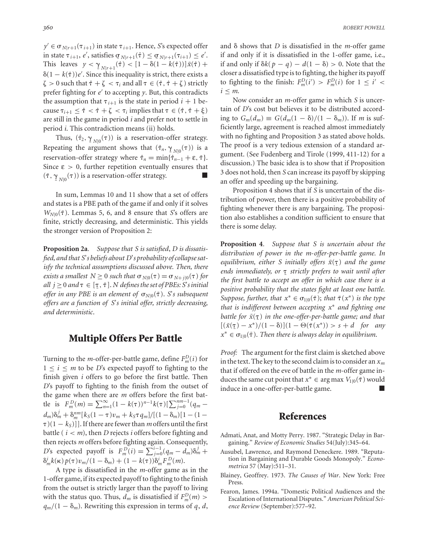$y' \in \sigma_{N|r+1}(\tau_{i+1})$  in state  $\tau_{i+1}$ . Hence, *S*'s expected offer in state  $\tau_{i+1}$ , *e'*, satisfies  $\underline{\sigma}_{N|r+1}(\hat{\tau}) \leq \underline{\sigma}_{N|r+1}(\tau_{i+1}) \leq e'$ .<br>This logyes  $\mu \leq \alpha$  (A)  $\leq [1 - \frac{8}{1 - \mu}(\hat{\tau})] \bar{\sigma}(A)$ This leaves  $y < \gamma_{N+r+1}(\hat{\tau}) < [1 - \delta(1 - k(\hat{\tau}))]\tilde{x}(\hat{\tau}) +$  $\delta(1 - k(\hat{\tau}))e'$ . Since this inequality is strict, there exists a  $\zeta > 0$  such that  $\hat{\tau} + \zeta < \tau_i$  and all  $\tau \in (\hat{\tau}, \hat{\tau} + \zeta)$  strictly prefer fighting for  $e'$  to accepting  $\gamma$ . But, this contradicts the assumption that  $\tau_{i+1}$  is the state in period  $i + 1$  because  $\tau_{i+1} \leq \hat{\tau} < \hat{\tau} + \zeta < \tau_i$  implies that  $\tau \in (\hat{\tau}, \hat{\tau} + \xi)$ are still in the game in period *i* and prefer not to settle in period *i*. This contradiction means (ii) holds.

Thus,  $(\hat{\tau}_2, \gamma_{N10}(\tau))$  is a reservation-offer strategy. Repeating the argument shows that  $(\hat{\tau}_n, \gamma_{N|0}(\tau))$  is a reservation-offer strategy where  $\hat{\tau}_n = \min\{\hat{\tau}_{n-1} + \varepsilon, \bar{\tau}\}.$ Since  $\epsilon > 0$ , further repetition eventually ensures that  $(\bar{\tau}, \gamma_{N|0}(\tau))$  is a reservation-offer strategy.

In sum, Lemmas 10 and 11 show that a set of offers and states is a PBE path of the game if and only if it solves  $W_{N|0}(\bar{\tau})$ . Lemmas 5, 6, and 8 ensure that *S*'s offers are finite, strictly decreasing, and deterministic. This yields the stronger version of Proposition 2:

**Proposition 2a***. Suppose that S is satisfied*, *D is dissatisfied, and that S*'*s beliefs about D*'*s probability of collapse satisfy the technical assumptions discussed above. Then, there exists a smallest*  $N \geq 0$  *such that*  $\sigma_{N|0}(\tau) = \sigma_{N+1|0}(\tau)$  *for*  $all j ≥ 0$  and  $\tau ∈ [\tau, \bar{\tau}]$ . *N* defines the set of PBEs: *S*'s initial ¯ *offer in any PBE is an element of <sup>N</sup>*<sup>|</sup>0(¯). *S*'*s subsequent offers are a function of S*'*s initial offer, strictly decreasing, and deterministic*.

#### **Multiple Offers Per Battle**

Turning to the *m*-offer-per-battle game, define  $F_m^D(i)$  for  $1 \leq i \leq m$  to be *D*'s expected payoff to fighting to the finish given *i* offers to go before the first battle. Then *D*'s payoff to fighting to the finish from the outset of the game when there are *m* offers before the first battle is  $F_m^D(m) = \sum_{n=1}^{\infty} (1 - k(\tau))^{n-1} k(\tau) [\sum_{j=0}^{nm-1} (q_m$  $d_m$ ) $\delta_m^j + \delta_m^{nm} [k_S(1-\tau)v_m + k_S\tau q_m]/[(1-\delta_m)[1-(1-\tau)]$  $\tau$ )(1 – k<sub>S</sub>)]]. If there are fewer than *m* offers until the first battle ( $i < m$ ), then *D* rejects *i* offers before fighting and then rejects *m* offers before fighting again. Consequently, *D*'s expected payoff is  $F_m^D(i) = \sum_{j=0}^{i-1} (q_m - d_m) \delta_m^j +$  $\delta_m^i k(\kappa) p(\tau) v_m / (1 - \delta_m) + (1 - k(\tau)) \delta_m^i F_m^D(m)$ .

A type is dissatisfied in the *m*-offer game as in the 1-offer game, if its expected payoff to fighting to the finish from the outset is strictly larger than the payoff to living with the status quo. Thus,  $d_m$  is dissatisfied if  $F_m^D(m)$  >  $q_m/(1 - \delta_m)$ . Rewriting this expression in terms of *q*, *d*,

and  $\delta$  shows that *D* is dissatisfied in the *m*-offer game if and only if it is dissatisfied in the 1-offer game, i.e., if and only if  $\delta k(p - q) - d(1 - \delta) > 0$ . Note that the closer a dissatisfied type is to fighting, the higher its payoff to fighting to the finish:  $F_m^D(i') > F_m^D(i)$  for  $1 \leq i' <$  $i \leq m$ .

Now consider an *m*-offer game in which *S* is uncertain of *D*'s cost but believes it to be distributed according to  $G_m(d_m)$  ≡  $G(d_m(1 - \delta)/(1 - \delta_m))$ . If *m* is sufficiently large, agreement is reached almost immediately with no fighting and Proposition 3 as stated above holds. The proof is a very tedious extension of a standard argument. (See Fudenberg and Tirole (1999, 411-12) for a discussion.) The basic idea is to show that if Proposition 3 does not hold, then *S* can increase its payoff by skipping an offer and speeding up the bargaining.

Proposition 4 shows that if *S* is uncertain of the distribution of power, then there is a positive probability of fighting whenever there is any bargaining. The proposition also establishes a condition sufficient to ensure that there is some delay.

**Proposition 4***. Suppose that S is uncertain about the distribution of power in the m*-*offer-per-battle game. In* equilibrium, either *S* initially offers  $\tilde{x}(\tau)$  and the game ends immediately, or  $\tau$  *strictly prefers to wait until after*<br>the first hattle to accept an offer in which case there is a *the first battle to accept an offer in which case there is a positive probability that the states fight at least one battle. Suppose, further, that*  $x^* \in \sigma_{1|0}(\bar{\tau})$ *; that*  $\tilde{\tau}(x^*)$  *is the type that is indifferent between accepting x*<sup>∗</sup> *and fighting one battle for x*˜( ) *in the one-offer-per-battle game; and that*  $[(\tilde{x}(\tau) - x^*)/(1 - \delta)](1 - \Theta(\tilde{\tau}(x^*))) > s + d$  for any  $x^* \in \sigma_{1|0}(\bar{\tau})$ . *Then there is always delay in equilibrium*.

*Proof:* The argument for the first claim is sketched above in the text. The key to the second claim is to consider an  $x_m$ that if offered on the eve of battle in the *m*-offer game induces the same cut point that  $x^*$  ∈ arg max  $V_{1|0}(\bar{\tau})$  would induce in a one-offer-per-battle game.

#### **References**

- Admati, Anat, and Motty Perry. 1987. "Strategic Delay in Bargaining." *Review of Economic Studies* 54(July):345–64.
- Ausubel, Lawrence, and Raymond Deneckere. 1989. "Reputation in Bargaining and Durable Goods Monopoly." *Econometrica* 57 (May):511–31.
- Blainey, Geoffrey. 1973. *The Causes of War*. New York: Free Press.
- Fearon, James. 1994a. "Domestic Political Audiences and the Escalation of International Disputes." *American Political Science Review* (September):577–92.